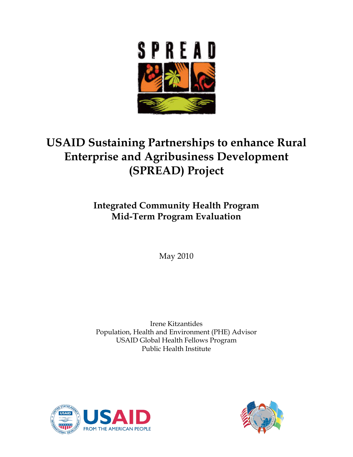

# **USAID Sustaining Partnerships to enhance Rural Enterprise and Agribusiness Development (SPREAD) Project**

# **Integrated Community Health Program Mid-Term Program Evaluation**

May 2010

Irene Kitzantides Population, Health and Environment (PHE) Advisor USAID Global Health Fellows Program Public Health Institute



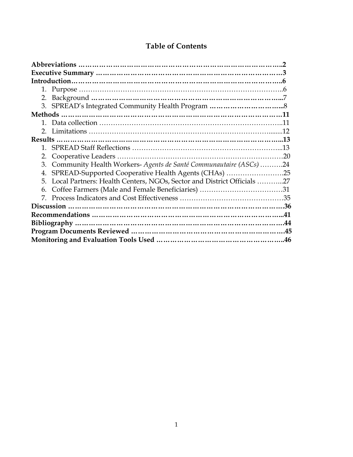| 2.                                                                           |  |
|------------------------------------------------------------------------------|--|
| Community Health Workers- Agents de Santé Communautaire (ASCs) 24<br>3.      |  |
| SPREAD-Supported Cooperative Health Agents (CHAs) 25<br>4.                   |  |
| Local Partners: Health Centers, NGOs, Sector and District Officials 27<br>5. |  |
| 6.                                                                           |  |
|                                                                              |  |
|                                                                              |  |
|                                                                              |  |
|                                                                              |  |
|                                                                              |  |
|                                                                              |  |

## **Table of Contents**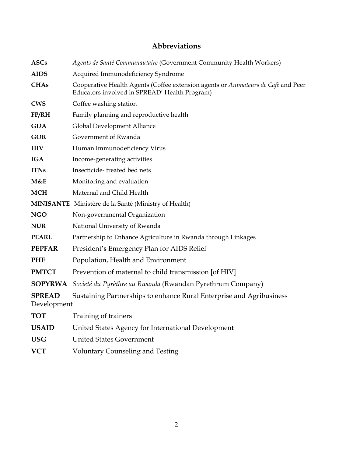## **Abbreviations**

| <b>ASCs</b>                  | Agents de Santé Communautaire (Government Community Health Workers)                                                                |  |  |  |
|------------------------------|------------------------------------------------------------------------------------------------------------------------------------|--|--|--|
| <b>AIDS</b>                  | Acquired Immunodeficiency Syndrome                                                                                                 |  |  |  |
| <b>CHAs</b>                  | Cooperative Health Agents (Coffee extension agents or Animateurs de Café and Peer<br>Educators involved in SPREAD' Health Program) |  |  |  |
| <b>CWS</b>                   | Coffee washing station                                                                                                             |  |  |  |
| FP/RH                        | Family planning and reproductive health                                                                                            |  |  |  |
| <b>GDA</b>                   | Global Development Alliance                                                                                                        |  |  |  |
| <b>GOR</b>                   | Government of Rwanda                                                                                                               |  |  |  |
| <b>HIV</b>                   | Human Immunodeficiency Virus                                                                                                       |  |  |  |
| <b>IGA</b>                   | Income-generating activities                                                                                                       |  |  |  |
| <b>ITNs</b>                  | Insecticide-treated bed nets                                                                                                       |  |  |  |
| M&E                          | Monitoring and evaluation                                                                                                          |  |  |  |
| <b>MCH</b>                   | Maternal and Child Health                                                                                                          |  |  |  |
|                              | <b>MINISANTE</b> Ministère de la Santé (Ministry of Health)                                                                        |  |  |  |
| <b>NGO</b>                   | Non-governmental Organization                                                                                                      |  |  |  |
| <b>NUR</b>                   | National University of Rwanda                                                                                                      |  |  |  |
| <b>PEARL</b>                 | Partnership to Enhance Agriculture in Rwanda through Linkages                                                                      |  |  |  |
| <b>PEPFAR</b>                | President's Emergency Plan for AIDS Relief                                                                                         |  |  |  |
| <b>PHE</b>                   | Population, Health and Environment                                                                                                 |  |  |  |
| <b>PMTCT</b>                 | Prevention of maternal to child transmission [of HIV]                                                                              |  |  |  |
| <b>SOPYRWA</b>               | Societé du Pyrèthre au Rwanda (Rwandan Pyrethrum Company)                                                                          |  |  |  |
| <b>SPREAD</b><br>Development | Sustaining Partnerships to enhance Rural Enterprise and Agribusiness                                                               |  |  |  |
| <b>TOT</b>                   | Training of trainers                                                                                                               |  |  |  |
| <b>USAID</b>                 | United States Agency for International Development                                                                                 |  |  |  |
| <b>USG</b>                   | <b>United States Government</b>                                                                                                    |  |  |  |

**VCT** Voluntary Counseling and Testing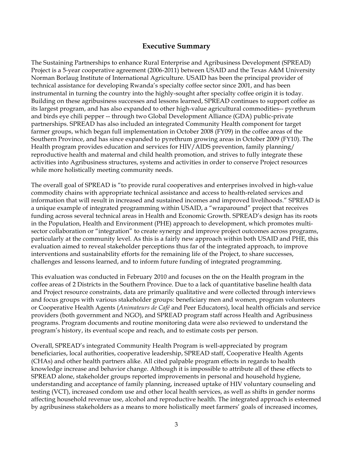## **Executive Summary**

The Sustaining Partnerships to enhance Rural Enterprise and Agribusiness Development (SPREAD) Project is a 5-year cooperative agreement (2006-2011) between USAID and the Texas A&M University Norman Borlaug Institute of International Agriculture. USAID has been the principal provider of technical assistance for developing Rwanda's specialty coffee sector since 2001, and has been instrumental in turning the country into the highly-sought after specialty coffee origin it is today. Building on these agribusiness successes and lessons learned, SPREAD continues to support coffee as its largest program, and has also expanded to other high-value agricultural commodities-- pyrethrum and birds eye chili pepper -- through two Global Development Alliance (GDA) public-private partnerships. SPREAD has also included an integrated Community Health component for target farmer groups, which began full implementation in October 2008 (FY09) in the coffee areas of the Southern Province, and has since expanded to pyrethrum growing areas in October 2009 (FY10). The Health program provides education and services for HIV/AIDS prevention, family planning/ reproductive health and maternal and child health promotion, and strives to fully integrate these activities into Agribusiness structures, systems and activities in order to conserve Project resources while more holistically meeting community needs.

The overall goal of SPREAD is "to provide rural cooperatives and enterprises involved in high-value commodity chains with appropriate technical assistance and access to health-related services and information that will result in increased and sustained incomes and improved livelihoods." SPREAD is a unique example of integrated programming within USAID, a "wraparound" project that receives funding across several technical areas in Health and Economic Growth. SPREAD's design has its roots in the Population, Health and Environment (PHE) approach to development, which promotes multisector collaboration or "integration" to create synergy and improve project outcomes across programs, particularly at the community level. As this is a fairly new approach within both USAID and PHE, this evaluation aimed to reveal stakeholder perceptions thus far of the integrated approach, to improve interventions and sustainability efforts for the remaining life of the Project, to share successes, challenges and lessons learned, and to inform future funding of integrated programming.

This evaluation was conducted in February 2010 and focuses on the on the Health program in the coffee areas of 2 Districts in the Southern Province. Due to a lack of quantitative baseline health data and Project resource constraints, data are primarily qualitative and were collected through interviews and focus groups with various stakeholder groups: beneficiary men and women, program volunteers or Cooperative Health Agents (*Animateurs de Café* and Peer Educators), local health officials and service providers (both government and NGO), and SPREAD program staff across Health and Agribusiness programs. Program documents and routine monitoring data were also reviewed to understand the program's history, its eventual scope and reach, and to estimate costs per person.

Overall, SPREAD's integrated Community Health Program is well-appreciated by program beneficiaries, local authorities, cooperative leadership, SPREAD staff, Cooperative Health Agents (CHAs) and other health partners alike. All cited palpable program effects in regards to health knowledge increase and behavior change. Although it is impossible to attribute all of these effects to SPREAD alone, stakeholder groups reported improvements in personal and household hygiene, understanding and acceptance of family planning, increased uptake of HIV voluntary counseling and testing (VCT), increased condom use and other local health services, as well as shifts in gender norms affecting household revenue use, alcohol and reproductive health. The integrated approach is esteemed by agribusiness stakeholders as a means to more holistically meet farmers' goals of increased incomes,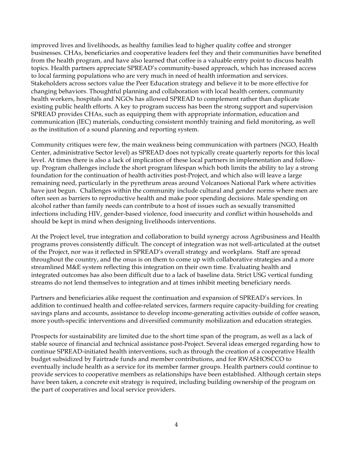improved lives and livelihoods, as healthy families lead to higher quality coffee and stronger businesses. CHAs, beneficiaries and cooperative leaders feel they and their communities have benefited from the health program, and have also learned that coffee is a valuable entry point to discuss health topics. Health partners appreciate SPREAD's community-based approach, which has increased access to local farming populations who are very much in need of health information and services. Stakeholders across sectors value the Peer Education strategy and believe it to be more effective for changing behaviors. Thoughtful planning and collaboration with local health centers, community health workers, hospitals and NGOs has allowed SPREAD to complement rather than duplicate existing public health efforts. A key to program success has been the strong support and supervision SPREAD provides CHAs, such as equipping them with appropriate information, education and communication (IEC) materials, conducting consistent monthly training and field monitoring, as well as the institution of a sound planning and reporting system.

Community critiques were few, the main weakness being communication with partners (NGO, Health Center, administrative Sector level) as SPREAD does not typically create quarterly reports for this local level. At times there is also a lack of implication of these local partners in implementation and followup. Program challenges include the short program lifespan which both limits the ability to lay a strong foundation for the continuation of health activities post-Project, and which also will leave a large remaining need, particularly in the pyrethrum areas around Volcanoes National Park where activities have just begun. Challenges within the community include cultural and gender norms where men are often seen as barriers to reproductive health and make poor spending decisions. Male spending on alcohol rather than family needs can contribute to a host of issues such as sexually transmitted infections including HIV, gender-based violence, food insecurity and conflict within households and should be kept in mind when designing livelihoods interventions.

At the Project level, true integration and collaboration to build synergy across Agribusiness and Health programs proves consistently difficult. The concept of integration was not well-articulated at the outset of the Project, nor was it reflected in SPREAD's overall strategy and workplans. Staff are spread throughout the country, and the onus is on them to come up with collaborative strategies and a more streamlined M&E system reflecting this integration on their own time. Evaluating health and integrated outcomes has also been difficult due to a lack of baseline data. Strict USG vertical funding streams do not lend themselves to integration and at times inhibit meeting beneficiary needs.

Partners and beneficiaries alike request the continuation and expansion of SPREAD's services. In addition to continued health and coffee-related services, farmers require capacity-building for creating savings plans and accounts, assistance to develop income-generating activities outside of coffee season, more youth-specific interventions and diversified community mobilization and education strategies.

Prospects for sustainability are limited due to the short time span of the program, as well as a lack of stable source of financial and technical assistance post-Project. Several ideas emerged regarding how to continue SPREAD-initiated health interventions, such as through the creation of a cooperative Health budget subsidized by Fairtrade funds and member contributions, and for RWASHOSCCO to eventually include health as a service for its member farmer groups. Health partners could continue to provide services to cooperative members as relationships have been established. Although certain steps have been taken, a concrete exit strategy is required, including building ownership of the program on the part of cooperatives and local service providers.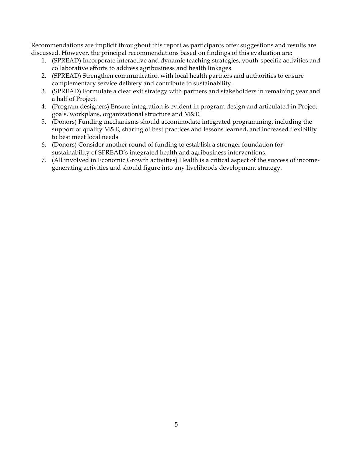Recommendations are implicit throughout this report as participants offer suggestions and results are discussed. However, the principal recommendations based on findings of this evaluation are:

- 1. (SPREAD) Incorporate interactive and dynamic teaching strategies, youth-specific activities and collaborative efforts to address agribusiness and health linkages.
- 2. (SPREAD) Strengthen communication with local health partners and authorities to ensure complementary service delivery and contribute to sustainability.
- 3. (SPREAD) Formulate a clear exit strategy with partners and stakeholders in remaining year and a half of Project.
- 4. (Program designers) Ensure integration is evident in program design and articulated in Project goals, workplans, organizational structure and M&E.
- 5. (Donors) Funding mechanisms should accommodate integrated programming, including the support of quality M&E, sharing of best practices and lessons learned, and increased flexibility to best meet local needs.
- 6. (Donors) Consider another round of funding to establish a stronger foundation for sustainability of SPREAD's integrated health and agribusiness interventions.
- 7. (All involved in Economic Growth activities) Health is a critical aspect of the success of incomegenerating activities and should figure into any livelihoods development strategy.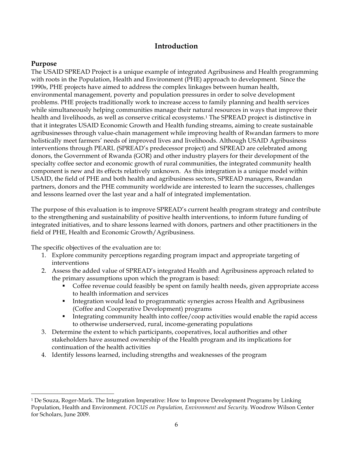## **Introduction**

#### **Purpose**

The USAID SPREAD Project is a unique example of integrated Agribusiness and Health programming with roots in the Population, Health and Environment (PHE) approach to development. Since the 1990s, PHE projects have aimed to address the complex linkages between human health, environmental management, poverty and population pressures in order to solve development problems. PHE projects traditionally work to increase access to family planning and health services while simultaneously helping communities manage their natural resources in ways that improve their health and livelihoods, as well as conserve critical ecosystems.1 The SPREAD project is distinctive in that it integrates USAID Economic Growth and Health funding streams, aiming to create sustainable agribusinesses through value-chain management while improving health of Rwandan farmers to more holistically meet farmers' needs of improved lives and livelihoods. Although USAID Agribusiness interventions through PEARL (SPREAD's predecessor project) and SPREAD are celebrated among donors, the Government of Rwanda (GOR) and other industry players for their development of the specialty coffee sector and economic growth of rural communities, the integrated community health component is new and its effects relatively unknown. As this integration is a unique model within USAID, the field of PHE and both health and agribusiness sectors, SPREAD managers, Rwandan partners, donors and the PHE community worldwide are interested to learn the successes, challenges and lessons learned over the last year and a half of integrated implementation.

The purpose of this evaluation is to improve SPREAD's current health program strategy and contribute to the strengthening and sustainability of positive health interventions, to inform future funding of integrated initiatives, and to share lessons learned with donors, partners and other practitioners in the field of PHE, Health and Economic Growth/Agribusiness.

The specific objectives of the evaluation are to:

- 1. Explore community perceptions regarding program impact and appropriate targeting of interventions
- 2. Assess the added value of SPREAD's integrated Health and Agribusiness approach related to the primary assumptions upon which the program is based:
	- Coffee revenue could feasibly be spent on family health needs, given appropriate access to health information and services
	- **Integration would lead to programmatic synergies across Health and Agribusiness** (Coffee and Cooperative Development) programs
	- Integrating community health into coffee/coop activities would enable the rapid access to otherwise underserved, rural, income-generating populations
- 3. Determine the extent to which participants, cooperatives, local authorities and other stakeholders have assumed ownership of the Health program and its implications for continuation of the health activities
- 4. Identify lessons learned, including strengths and weaknesses of the program

 <sup>1</sup> De Souza, Roger-Mark. The Integration Imperative: How to Improve Development Programs by Linking Population, Health and Environment. *FOCUS on Population, Environment and Security.* Woodrow Wilson Center for Scholars, June 2009.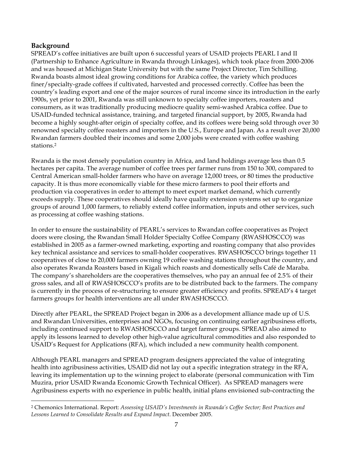## **Background**

SPREAD's coffee initiatives are built upon 6 successful years of USAID projects PEARL I and II (Partnership to Enhance Agriculture in Rwanda through Linkages), which took place from 2000-2006 and was housed at Michigan State University but with the same Project Director, Tim Schilling. Rwanda boasts almost ideal growing conditions for Arabica coffee, the variety which produces finer/specialty-grade coffees if cultivated, harvested and processed correctly. Coffee has been the country's leading export and one of the major sources of rural income since its introduction in the early 1900s, yet prior to 2001, Rwanda was still unknown to specialty coffee importers, roasters and consumers, as it was traditionally producing mediocre quality semi-washed Arabica coffee. Due to USAID-funded technical assistance, training, and targeted financial support, by 2005, Rwanda had become a highly sought-after origin of specialty coffee, and its coffees were being sold through over 30 renowned specialty coffee roasters and importers in the U.S., Europe and Japan. As a result over 20,000 Rwandan farmers doubled their incomes and some 2,000 jobs were created with coffee washing stations.2

Rwanda is the most densely population country in Africa, and land holdings average less than 0.5 hectares per capita. The average number of coffee trees per farmer runs from 150 to 300, compared to Central American small-holder farmers who have on average 12,000 trees, or 80 times the productive capacity. It is thus more economically viable for these micro farmers to pool their efforts and production via cooperatives in order to attempt to meet export market demand, which currently exceeds supply. These cooperatives should ideally have quality extension systems set up to organize groups of around 1,000 farmers, to reliably extend coffee information, inputs and other services, such as processing at coffee washing stations.

In order to ensure the sustainability of PEARL's services to Rwandan coffee cooperatives as Project doors were closing, the Rwandan Small Holder Specialty Coffee Company (RWASHOSCCO) was established in 2005 as a farmer-owned marketing, exporting and roasting company that also provides key technical assistance and services to small-holder cooperatives. RWASHOSCCO brings together 11 cooperatives of close to 20,000 farmers owning 19 coffee washing stations throughout the country, and also operates Rwanda Roasters based in Kigali which roasts and domestically sells Café de Maraba. The company's shareholders are the cooperatives themselves, who pay an annual fee of 2.5% of their gross sales, and all of RWASHOSCCO's profits are to be distributed back to the farmers. The company is currently in the process of re-structuring to ensure greater efficiency and profits. SPREAD's 4 target farmers groups for health interventions are all under RWASHOSCCO.

Directly after PEARL, the SPREAD Project began in 2006 as a development alliance made up of U.S. and Rwandan Universities, enterprises and NGOs, focusing on continuing earlier agribusiness efforts, including continued support to RWASHOSCCO and target farmer groups. SPREAD also aimed to apply its lessons learned to develop other high-value agricultural commodities and also responded to USAID's Request for Applications (RFA), which included a new community health component.

Although PEARL managers and SPREAD program designers appreciated the value of integrating health into agribusiness activities, USAID did not lay out a specific integration strategy in the RFA, leaving its implementation up to the winning project to elaborate (personal communication with Tim Muzira, prior USAID Rwanda Economic Growth Technical Officer). As SPREAD managers were Agribusiness experts with no experience in public health, initial plans envisioned sub-contracting the

 <sup>2</sup> Chemonics International. Report: *Assessing USAID's Investments in Rwanda's Coffee Sector; Best Practices and Lessons Learned to Consolidate Results and Expand Impact*. December 2005.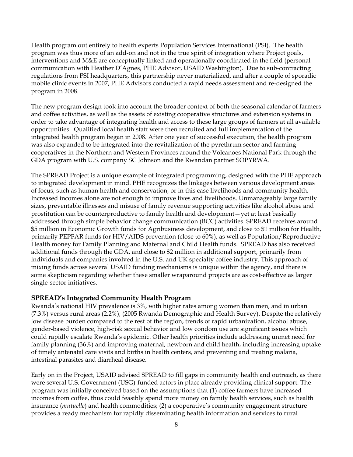Health program out entirely to health experts Population Services International (PSI). The health program was thus more of an add-on and not in the true spirit of integration where Project goals, interventions and M&E are conceptually linked and operationally coordinated in the field (personal communication with Heather D'Agnes, PHE Advisor, USAID Washington). Due to sub-contracting regulations from PSI headquarters, this partnership never materialized, and after a couple of sporadic mobile clinic events in 2007, PHE Advisors conducted a rapid needs assessment and re-designed the program in 2008.

The new program design took into account the broader context of both the seasonal calendar of farmers and coffee activities, as well as the assets of existing cooperative structures and extension systems in order to take advantage of integrating health and access to these large groups of farmers at all available opportunities. Qualified local health staff were then recruited and full implementation of the integrated health program began in 2008. After one year of successful execution, the health program was also expanded to be integrated into the revitalization of the pyrethrum sector and farming cooperatives in the Northern and Western Provinces around the Volcanoes National Park through the GDA program with U.S. company SC Johnson and the Rwandan partner SOPYRWA.

The SPREAD Project is a unique example of integrated programming, designed with the PHE approach to integrated development in mind. PHE recognizes the linkages between various development areas of focus, such as human health and conservation, or in this case livelihoods and community health. Increased incomes alone are not enough to improve lives and livelihoods. Unmanageably large family sizes, preventable illnesses and misuse of family revenue supporting activities like alcohol abuse and prostitution can be counterproductive to family health and development—yet at least basically addressed through simple behavior change communication (BCC) activities. SPREAD receives around \$5 million in Economic Growth funds for Agribusiness development, and close to \$1 million for Health, primarily PEPFAR funds for HIV/AIDS prevention (close to 60%), as well as Population/Reproductive Health money for Family Planning and Maternal and Child Health funds. SPREAD has also received additional funds through the GDA, and close to \$2 million in additional support, primarily from individuals and companies involved in the U.S. and UK specialty coffee industry. This approach of mixing funds across several USAID funding mechanisms is unique within the agency, and there is some skepticism regarding whether these smaller wraparound projects are as cost-effective as larger single-sector initiatives.

## **SPREAD's Integrated Community Health Program**

Rwanda's national HIV prevalence is 3%, with higher rates among women than men, and in urban (7.3%) versus rural areas (2.2%), (2005 Rwanda Demographic and Health Survey). Despite the relatively low disease burden compared to the rest of the region, trends of rapid urbanization, alcohol abuse, gender-based violence, high-risk sexual behavior and low condom use are significant issues which could rapidly escalate Rwanda's epidemic. Other health priorities include addressing unmet need for family planning (36%) and improving maternal, newborn and child health, including increasing uptake of timely antenatal care visits and births in health centers, and preventing and treating malaria, intestinal parasites and diarrheal disease.

Early on in the Project, USAID advised SPREAD to fill gaps in community health and outreach, as there were several U.S. Government (USG)-funded actors in place already providing clinical support. The program was initially conceived based on the assumptions that (1) coffee farmers have increased incomes from coffee, thus could feasibly spend more money on family health services, such as health insurance (*mutuelle*) and health commodities; (2) a cooperative's community engagement structure provides a ready mechanism for rapidly disseminating health information and services to rural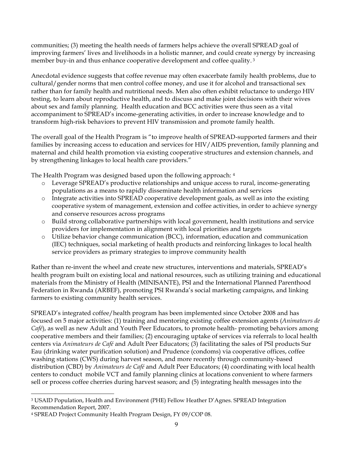communities; (3) meeting the health needs of farmers helps achieve the overall SPREAD goal of improving farmers' lives and livelihoods in a holistic manner, and could create synergy by increasing member buy-in and thus enhance cooperative development and coffee quality. <sup>3</sup>

Anecdotal evidence suggests that coffee revenue may often exacerbate family health problems, due to cultural/gender norms that men control coffee money, and use it for alcohol and transactional sex rather than for family health and nutritional needs. Men also often exhibit reluctance to undergo HIV testing, to learn about reproductive health, and to discuss and make joint decisions with their wives about sex and family planning. Health education and BCC activities were thus seen as a vital accompaniment to SPREAD's income-generating activities, in order to increase knowledge and to transform high-risk behaviors to prevent HIV transmission and promote family health.

The overall goal of the Health Program is "to improve health of SPREAD-supported farmers and their families by increasing access to education and services for HIV/AIDS prevention, family planning and maternal and child health promotion via existing cooperative structures and extension channels, and by strengthening linkages to local health care providers."

The Health Program was designed based upon the following approach: 4

- o Leverage SPREAD's productive relationships and unique access to rural, income-generating populations as a means to rapidly disseminate health information and services
- o Integrate activities into SPREAD cooperative development goals, as well as into the existing cooperative system of management, extension and coffee activities, in order to achieve synergy and conserve resources across programs
- o Build strong collaborative partnerships with local government, health institutions and service providers for implementation in alignment with local priorities and targets
- o Utilize behavior change communication (BCC), information, education and communication (IEC) techniques, social marketing of health products and reinforcing linkages to local health service providers as primary strategies to improve community health

Rather than re-invent the wheel and create new structures, interventions and materials, SPREAD's health program built on existing local and national resources, such as utilizing training and educational materials from the Ministry of Health (MINISANTE), PSI and the International Planned Parenthood Federation in Rwanda (ARBEF), promoting PSI Rwanda's social marketing campaigns, and linking farmers to existing community health services.

SPREAD's integrated coffee/health program has been implemented since October 2008 and has focused on 5 major activities: (1) training and mentoring existing coffee extension agents (*Animateurs de Café*), as well as new Adult and Youth Peer Educators, to promote health- promoting behaviors among cooperative members and their families; (2) encouraging uptake of services via referrals to local health centers via *Animateurs de Café* and Adult Peer Educators; (3) facilitating the sales of PSI products Sur Eau (drinking water purification solution) and Prudence (condoms) via cooperative offices, coffee washing stations (CWS) during harvest season, and more recently through community-based distribution (CBD) by *Animateurs de Café* and Adult Peer Educators; (4) coordinating with local health centers to conduct mobile VCT and family planning clinics at locations convenient to where farmers sell or process coffee cherries during harvest season; and (5) integrating health messages into the

 <sup>3</sup> USAID Population, Health and Environment (PHE) Fellow Heather D'Agnes. SPREAD Integration Recommendation Report, 2007.

<sup>4</sup> SPREAD Project Community Health Program Design, FY 09/COP 08.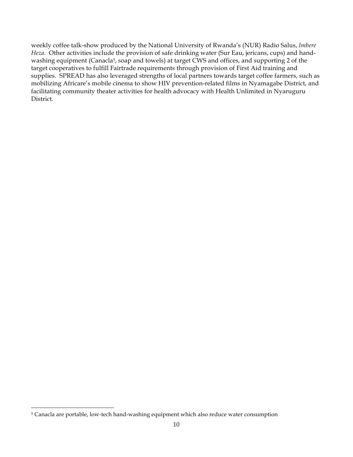weekly coffee talk-show produced by the National University of Rwanda's (NUR) Radio Salus, *Imbere Heza*. Other activities include the provision of safe drinking water (Sur Eau, jericans, cups) and handwashing equipment (Canacla<sup>5</sup>, soap and towels) at target CWS and offices, and supporting 2 of the target cooperatives to fulfill Fairtrade requirements through provision of First Aid training and supplies. SPREAD has also leveraged strengths of local partners towards target coffee farmers, such as mobilizing Africare's mobile cinema to show HIV prevention-related films in Nyamagabe District, and facilitating community theater activities for health advocacy with Health Unlimited in Nyaruguru District.

 <sup>5</sup> Canacla are portable, low-tech hand-washing equipment which also reduce water consumption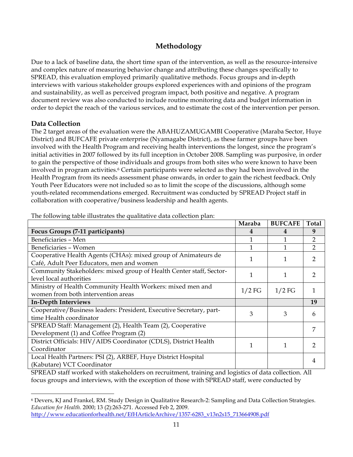## **Methodology**

Due to a lack of baseline data, the short time span of the intervention, as well as the resource-intensive and complex nature of measuring behavior change and attributing these changes specifically to SPREAD, this evaluation employed primarily qualitative methods. Focus groups and in-depth interviews with various stakeholder groups explored experiences with and opinions of the program and sustainability, as well as perceived program impact, both positive and negative. A program document review was also conducted to include routine monitoring data and budget information in order to depict the reach of the various services, and to estimate the cost of the intervention per person.

#### **Data Collection**

The 2 target areas of the evaluation were the ABAHUZAMUGAMBI Cooperative (Maraba Sector, Huye District) and BUFCAFE private enterprise (Nyamagabe District), as these farmer groups have been involved with the Health Program and receiving health interventions the longest, since the program's initial activities in 2007 followed by its full inception in October 2008. Sampling was purposive, in order to gain the perspective of those individuals and groups from both sites who were known to have been involved in program activities.<sup>6</sup> Certain participants were selected as they had been involved in the Health Program from its needs assessment phase onwards, in order to gain the richest feedback. Only Youth Peer Educators were not included so as to limit the scope of the discussions, although some youth-related recommendations emerged. Recruitment was conducted by SPREAD Project staff in collaboration with cooperative/business leadership and health agents.

|                                                                     | Maraba   | <b>BUFCAFE</b> | <b>Total</b>   |
|---------------------------------------------------------------------|----------|----------------|----------------|
| Focus Groups (7-11 participants)                                    | 4        | 4              | 9              |
| Beneficiaries - Men                                                 |          |                | $\overline{2}$ |
| Beneficiaries - Women                                               |          |                | $\overline{2}$ |
| Cooperative Health Agents (CHAs): mixed group of Animateurs de      |          |                | 2              |
| Café, Adult Peer Educators, men and women                           |          |                |                |
| Community Stakeholders: mixed group of Health Center staff, Sector- |          | 1              | $\mathcal{P}$  |
| level local authorities                                             |          |                |                |
| Ministry of Health Community Health Workers: mixed men and          | $1/2$ FG | $1/2$ FG       |                |
| women from both intervention areas                                  |          |                |                |
| <b>In-Depth Interviews</b>                                          |          |                | 19             |
| Cooperative/Business leaders: President, Executive Secretary, part- | 3        | 3              | 6              |
| time Health coordinator                                             |          |                |                |
| SPREAD Staff: Management (2), Health Team (2), Cooperative          |          |                | 7              |
| Development (1) and Coffee Program (2)                              |          |                |                |
| District Officials: HIV/AIDS Coordinator (CDLS), District Health    |          |                | $\mathcal{D}$  |
| Coordinator                                                         |          |                |                |
| Local Health Partners: PSI (2), ARBEF, Huye District Hospital       |          |                | 4              |
| (Kabutare) VCT Coordinator                                          |          |                |                |

The following table illustrates the qualitative data collection plan:

SPREAD staff worked with stakeholders on recruitment, training and logistics of data collection. All focus groups and interviews, with the exception of those with SPREAD staff, were conducted by

 <sup>6</sup> Devers, KJ and Frankel, RM. Study Design in Qualitative Research-2: Sampling and Data Collection Strategies. *Education for Health*. 2000; 13 (2):263-271. Accessed Feb 2, 2009. http://www.educationforhealth.net/EfHArticleArchive/1357-6283\_v13n2s15\_713664908.pdf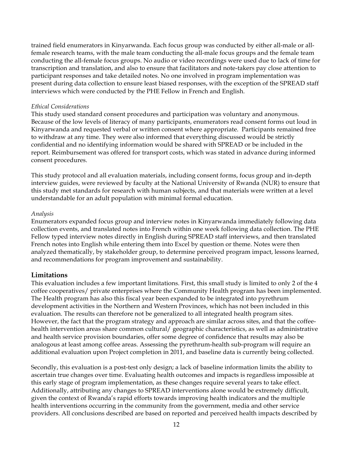trained field enumerators in Kinyarwanda. Each focus group was conducted by either all-male or allfemale research teams, with the male team conducting the all-male focus groups and the female team conducting the all-female focus groups. No audio or video recordings were used due to lack of time for transcription and translation, and also to ensure that facilitators and note-takers pay close attention to participant responses and take detailed notes. No one involved in program implementation was present during data collection to ensure least biased responses, with the exception of the SPREAD staff interviews which were conducted by the PHE Fellow in French and English.

#### *Ethical Considerations*

This study used standard consent procedures and participation was voluntary and anonymous. Because of the low levels of literacy of many participants, enumerators read consent forms out loud in Kinyarwanda and requested verbal or written consent where appropriate. Participants remained free to withdraw at any time. They were also informed that everything discussed would be strictly confidential and no identifying information would be shared with SPREAD or be included in the report. Reimbursement was offered for transport costs, which was stated in advance during informed consent procedures.

This study protocol and all evaluation materials, including consent forms, focus group and in-depth interview guides, were reviewed by faculty at the National University of Rwanda (NUR) to ensure that this study met standards for research with human subjects, and that materials were written at a level understandable for an adult population with minimal formal education.

#### *Analysis*

Enumerators expanded focus group and interview notes in Kinyarwanda immediately following data collection events, and translated notes into French within one week following data collection. The PHE Fellow typed interview notes directly in English during SPREAD staff interviews, and then translated French notes into English while entering them into Excel by question or theme. Notes were then analyzed thematically, by stakeholder group, to determine perceived program impact, lessons learned, and recommendations for program improvement and sustainability.

#### **Limitations**

This evaluation includes a few important limitations. First, this small study is limited to only 2 of the 4 coffee cooperatives/ private enterprises where the Community Health program has been implemented. The Health program has also this fiscal year been expanded to be integrated into pyrethrum development activities in the Northern and Western Provinces, which has not been included in this evaluation. The results can therefore not be generalized to all integrated health program sites. However, the fact that the program strategy and approach are similar across sites, and that the coffeehealth intervention areas share common cultural/ geographic characteristics, as well as administrative and health service provision boundaries, offer some degree of confidence that results may also be analogous at least among coffee areas. Assessing the pyrethrum-health sub-program will require an additional evaluation upon Project completion in 2011, and baseline data is currently being collected.

Secondly, this evaluation is a post-test only design; a lack of baseline information limits the ability to ascertain true changes over time. Evaluating health outcomes and impacts is regardless impossible at this early stage of program implementation, as these changes require several years to take effect. Additionally, attributing any changes to SPREAD interventions alone would be extremely difficult, given the context of Rwanda's rapid efforts towards improving health indicators and the multiple health interventions occurring in the community from the government, media and other service providers. All conclusions described are based on reported and perceived health impacts described by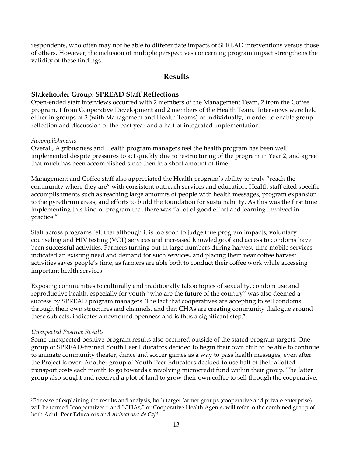respondents, who often may not be able to differentiate impacts of SPREAD interventions versus those of others. However, the inclusion of multiple perspectives concerning program impact strengthens the validity of these findings.

## **Results**

### **Stakeholder Group: SPREAD Staff Reflections**

Open-ended staff interviews occurred with 2 members of the Management Team, 2 from the Coffee program, 1 from Cooperative Development and 2 members of the Health Team. Interviews were held either in groups of 2 (with Management and Health Teams) or individually, in order to enable group reflection and discussion of the past year and a half of integrated implementation.

#### *Accomplishments*

Overall, Agribusiness and Health program managers feel the health program has been well implemented despite pressures to act quickly due to restructuring of the program in Year 2, and agree that much has been accomplished since then in a short amount of time.

Management and Coffee staff also appreciated the Health program's ability to truly "reach the community where they are" with consistent outreach services and education. Health staff cited specific accomplishments such as reaching large amounts of people with health messages, program expansion to the pyrethrum areas, and efforts to build the foundation for sustainability. As this was the first time implementing this kind of program that there was "a lot of good effort and learning involved in practice."

Staff across programs felt that although it is too soon to judge true program impacts, voluntary counseling and HIV testing (VCT) services and increased knowledge of and access to condoms have been successful activities. Farmers turning out in large numbers during harvest-time mobile services indicated an existing need and demand for such services, and placing them near coffee harvest activities saves people's time, as farmers are able both to conduct their coffee work while accessing important health services.

Exposing communities to culturally and traditionally taboo topics of sexuality, condom use and reproductive health, especially for youth "who are the future of the country" was also deemed a success by SPREAD program managers. The fact that cooperatives are accepting to sell condoms through their own structures and channels, and that CHAs are creating community dialogue around these subjects, indicates a newfound openness and is thus a significant step.7

#### *Unexpected Positive Results*

 $\overline{a}$ 

Some unexpected positive program results also occurred outside of the stated program targets. One group of SPREAD-trained Youth Peer Educators decided to begin their own club to be able to continue to animate community theater, dance and soccer games as a way to pass health messages, even after the Project is over. Another group of Youth Peer Educators decided to use half of their allotted transport costs each month to go towards a revolving microcredit fund within their group. The latter group also sought and received a plot of land to grow their own coffee to sell through the cooperative.

<sup>7</sup>For ease of explaining the results and analysis, both target farmer groups (cooperative and private enterprise) will be termed "cooperatives." and "CHAs," or Cooperative Health Agents, will refer to the combined group of both Adult Peer Educators and *Animateurs de Café*.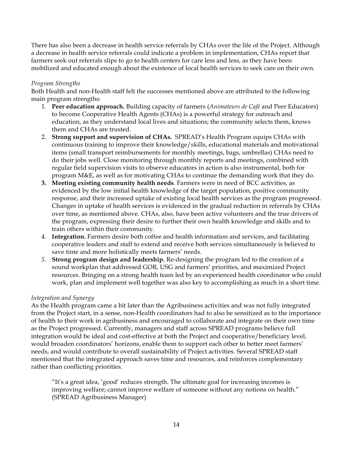There has also been a decrease in health service referrals by CHAs over the life of the Project. Although a decrease in health service referrals could indicate a problem in implementation, CHAs report that farmers seek out referrals slips to go to health centers for care less and less, as they have been mobilized and educated enough about the existence of local health services to seek care on their own.

#### *Program Strengths*

Both Health and non-Health staff felt the successes mentioned above are attributed to the following main program strengths:

- 1. **Peer education approach.** Building capacity of farmers (*Animateurs de Café* and Peer Educators) to become Cooperative Health Agents (CHAs) is a powerful strategy for outreach and education, as they understand local lives and situations; the community selects them, knows them and CHAs are trusted.
- 2. **Strong support and supervision of CHAs.** SPREAD's Health Program equips CHAs with continuous training to improve their knowledge/skills, educational materials and motivational items (small transport reimbursements for monthly meetings, bags, umbrellas) CHAs need to do their jobs well. Close monitoring through monthly reports and meetings, combined with regular field supervision visits to observe educators in action is also instrumental, both for program M&E, as well as for motivating CHAs to continue the demanding work that they do.
- **3. Meeting existing community health needs**. Farmers were in need of BCC activities, as evidenced by the low initial health knowledge of the target population, positive community response, and their increased uptake of existing local health services as the program progressed. Changes in uptake of health services is evidenced in the gradual reduction in referrals by CHAs over time, as mentioned above. CHAs, also, have been active volunteers and the true drivers of the program, expressing their desire to further their own health knowledge and skills and to train others within their community.
- 4. **Integration.** Farmers desire both coffee and health information and services, and facilitating cooperative leaders and staff to extend and receive both services simultaneously is believed to save time and more holistically meets farmers' needs.
- *5.* **Strong program design and leadership.** Re-designing the program led to the creation of a sound workplan that addressed GOR, USG and farmers' priorities, and maximized Project resources. Bringing on a strong health team led by an experienced health coordinator who could work, plan and implement well together was also key to accomplishing as much in a short time.

#### *Integration and Synergy*

As the Health program came a bit later than the Agribusiness activities and was not fully integrated from the Project start, in a sense, non-Health coordinators had to also be sensitized as to the importance of health to their work in agribusiness and encouraged to collaborate and integrate on their own time as the Project progressed. Currently, managers and staff across SPREAD programs believe full integration would be ideal and cost-effective at both the Project and cooperative/beneficiary level, would broaden coordinators' horizons, enable them to support each other to better meet farmers' needs, and would contribute to overall sustainability of Project activities. Several SPREAD staff mentioned that the integrated approach saves time and resources, and reinforces complementary rather than conflicting priorities.

"It's a great idea, 'good' reduces strength. The ultimate goal for increasing incomes is improving welfare; cannot improve welfare of someone without any notions on health." (SPREAD Agribusiness Manager)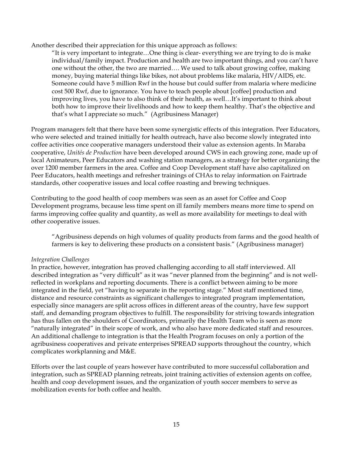Another described their appreciation for this unique approach as follows:

"It is very important to integrate…One thing is clear- everything we are trying to do is make individual/family impact. Production and health are two important things, and you can't have one without the other, the two are married…. We used to talk about growing coffee, making money, buying material things like bikes, not about problems like malaria, HIV/AIDS, etc. Someone could have 5 million Rwf in the house but could suffer from malaria where medicine cost 500 Rwf, due to ignorance. You have to teach people about [coffee] production and improving lives, you have to also think of their health, as well…It's important to think about both how to improve their livelihoods and how to keep them healthy. That's the objective and that's what I appreciate so much." (Agribusiness Manager)

Program managers felt that there have been some synergistic effects of this integration. Peer Educators, who were selected and trained initially for health outreach, have also become slowly integrated into coffee activities once cooperative managers understood their value as extension agents. In Maraba cooperative, *Unités de Production* have been developed around CWS in each growing zone, made up of local Animateurs, Peer Educators and washing station managers, as a strategy for better organizing the over 1200 member farmers in the area. Coffee and Coop Development staff have also capitalized on Peer Educators, health meetings and refresher trainings of CHAs to relay information on Fairtrade standards, other cooperative issues and local coffee roasting and brewing techniques.

Contributing to the good health of coop members was seen as an asset for Coffee and Coop Development programs, because less time spent on ill family members means more time to spend on farms improving coffee quality and quantity, as well as more availability for meetings to deal with other cooperative issues.

"Agribusiness depends on high volumes of quality products from farms and the good health of farmers is key to delivering these products on a consistent basis." (Agribusiness manager)

#### *Integration Challenges*

In practice, however, integration has proved challenging according to all staff interviewed. All described integration as "very difficult" as it was "never planned from the beginning" and is not wellreflected in workplans and reporting documents. There is a conflict between aiming to be more integrated in the field, yet "having to separate in the reporting stage." Most staff mentioned time, distance and resource constraints as significant challenges to integrated program implementation, especially since managers are split across offices in different areas of the country, have few support staff, and demanding program objectives to fulfill. The responsibility for striving towards integration has thus fallen on the shoulders of Coordinators, primarily the Health Team who is seen as more "naturally integrated" in their scope of work, and who also have more dedicated staff and resources. An additional challenge to integration is that the Health Program focuses on only a portion of the agribusiness cooperatives and private enterprises SPREAD supports throughout the country, which complicates workplanning and M&E.

Efforts over the last couple of years however have contributed to more successful collaboration and integration, such as SPREAD planning retreats, joint training activities of extension agents on coffee, health and coop development issues, and the organization of youth soccer members to serve as mobilization events for both coffee and health.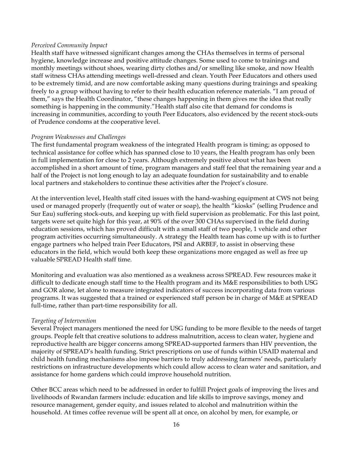#### *Perceived Community Impact*

Health staff have witnessed significant changes among the CHAs themselves in terms of personal hygiene, knowledge increase and positive attitude changes. Some used to come to trainings and monthly meetings without shoes, wearing dirty clothes and/or smelling like smoke, and now Health staff witness CHAs attending meetings well-dressed and clean. Youth Peer Educators and others used to be extremely timid, and are now comfortable asking many questions during trainings and speaking freely to a group without having to refer to their health education reference materials. "I am proud of them," says the Health Coordinator, "these changes happening in them gives me the idea that really something is happening in the community."Health staff also cite that demand for condoms is increasing in communities, according to youth Peer Educators, also evidenced by the recent stock-outs of Prudence condoms at the cooperative level.

#### *Program Weaknesses and Challenges*

The first fundamental program weakness of the integrated Health program is timing; as opposed to technical assistance for coffee which has spanned close to 10 years, the Health program has only been in full implementation for close to 2 years. Although extremely positive about what has been accomplished in a short amount of time, program managers and staff feel that the remaining year and a half of the Project is not long enough to lay an adequate foundation for sustainability and to enable local partners and stakeholders to continue these activities after the Project's closure.

At the intervention level, Health staff cited issues with the hand-washing equipment at CWS not being used or managed properly (frequently out of water or soap), the health "kiosks" (selling Prudence and Sur Eau) suffering stock-outs, and keeping up with field supervision as problematic. For this last point, targets were set quite high for this year, at 90% of the over 300 CHAs supervised in the field during education sessions, which has proved difficult with a small staff of two people, 1 vehicle and other program activities occurring simultaneously. A strategy the Health team has come up with is to further engage partners who helped train Peer Educators, PSI and ARBEF, to assist in observing these educators in the field, which would both keep these organizations more engaged as well as free up valuable SPREAD Health staff time.

Monitoring and evaluation was also mentioned as a weakness across SPREAD. Few resources make it difficult to dedicate enough staff time to the Health program and its M&E responsibilities to both USG and GOR alone, let alone to measure integrated indicators of success incorporating data from various programs. It was suggested that a trained or experienced staff person be in charge of M&E at SPREAD full-time, rather than part-time responsibility for all.

#### *Targeting of Intervention*

Several Project managers mentioned the need for USG funding to be more flexible to the needs of target groups. People felt that creative solutions to address malnutrition, access to clean water, hygiene and reproductive health are bigger concerns among SPREAD-supported farmers than HIV prevention, the majority of SPREAD's health funding. Strict prescriptions on use of funds within USAID maternal and child health funding mechanisms also impose barriers to truly addressing farmers' needs, particularly restrictions on infrastructure developments which could allow access to clean water and sanitation, and assistance for home gardens which could improve household nutrition.

Other BCC areas which need to be addressed in order to fulfill Project goals of improving the lives and livelihoods of Rwandan farmers include: education and life skills to improve savings, money and resource management, gender equity, and issues related to alcohol and malnutrition within the household. At times coffee revenue will be spent all at once, on alcohol by men, for example, or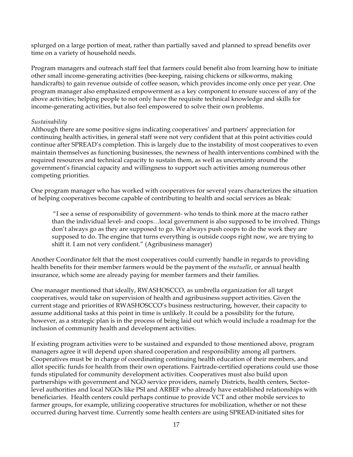splurged on a large portion of meat, rather than partially saved and planned to spread benefits over time on a variety of household needs.

Program managers and outreach staff feel that farmers could benefit also from learning how to initiate other small income-generating activities (bee-keeping, raising chickens or silkworms, making handicrafts) to gain revenue outside of coffee season, which provides income only once per year. One program manager also emphasized empowerment as a key component to ensure success of any of the above activities; helping people to not only have the requisite technical knowledge and skills for income-generating activities, but also feel empowered to solve their own problems.

#### *Sustainability*

Although there are some positive signs indicating cooperatives' and partners' appreciation for continuing health activities, in general staff were not very confident that at this point activities could continue after SPREAD's completion. This is largely due to the instability of most cooperatives to even maintain themselves as functioning businesses, the newness of health interventions combined with the required resources and technical capacity to sustain them, as well as uncertainty around the government's financial capacity and willingness to support such activities among numerous other competing priorities.

One program manager who has worked with cooperatives for several years characterizes the situation of helping cooperatives become capable of contributing to health and social services as bleak:

"I see a sense of responsibility of government- who tends to think more at the macro rather than the individual level- and coops…local government is also supposed to be involved. Things don't always go as they are supposed to go. We always push coops to do the work they are supposed to do. The engine that turns everything is outside coops right now, we are trying to shift it. I am not very confident." (Agribusiness manager)

Another Coordinator felt that the most cooperatives could currently handle in regards to providing health benefits for their member farmers would be the payment of the *mutuelle*, or annual health insurance, which some are already paying for member farmers and their families.

One manager mentioned that ideally, RWASHOSCCO, as umbrella organization for all target cooperatives, would take on supervision of health and agribusiness support activities. Given the current stage and priorities of RWASHOSCCO's business restructuring, however, their capacity to assume additional tasks at this point in time is unlikely. It could be a possibility for the future, however, as a strategic plan is in the process of being laid out which would include a roadmap for the inclusion of community health and development activities.

If existing program activities were to be sustained and expanded to those mentioned above, program managers agree it will depend upon shared cooperation and responsibility among all partners. Cooperatives must be in charge of coordinating continuing health education of their members, and allot specific funds for health from their own operations. Fairtrade-certified operations could use those funds stipulated for community development activities. Cooperatives must also build upon partnerships with government and NGO service providers, namely Districts, health centers, Sectorlevel authorities and local NGOs like PSI and ARBEF who already have established relationships with beneficiaries. Health centers could perhaps continue to provide VCT and other mobile services to farmer groups, for example, utilizing cooperative structures for mobilization, whether or not these occurred during harvest time. Currently some health centers are using SPREAD-initiated sites for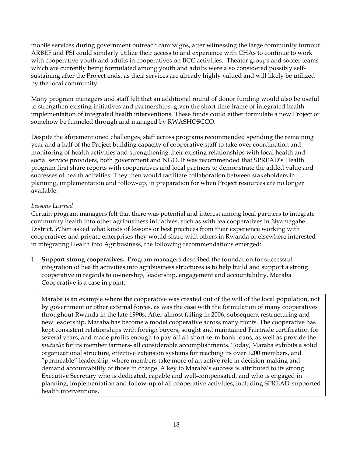mobile services during government outreach campaigns, after witnessing the large community turnout. ARBEF and PSI could similarly utilize their access to and experience with CHAs to continue to work with cooperative youth and adults in cooperatives on BCC activities. Theater groups and soccer teams which are currently being formulated among youth and adults were also considered possibly selfsustaining after the Project ends, as their services are already highly valued and will likely be utilized by the local community.

Many program managers and staff felt that an additional round of donor funding would also be useful to strengthen existing initiatives and partnerships, given the short time frame of integrated health implementation of integrated health interventions. These funds could either formulate a new Project or somehow be funneled through and managed by RWASHOSCCO.

Despite the aforementioned challenges, staff across programs recommended spending the remaining year and a half of the Project building capacity of cooperative staff to take over coordination and monitoring of health activities and strengthening their existing relationships with local health and social service providers, both government and NGO. It was recommended that SPREAD's Health program first share reports with cooperatives and local partners to demonstrate the added value and successes of health activities. They then would facilitate collaboration between stakeholders in planning, implementation and follow-up, in preparation for when Project resources are no longer available.

#### *Lessons Learned*

Certain program managers felt that there was potential and interest among local partners to integrate community health into other agribusiness initiatives, such as with tea cooperatives in Nyamagabe District. When asked what kinds of lessons or best practices from their experience working with cooperatives and private enterprises they would share with others in Rwanda or elsewhere interested in integrating Health into Agribusiness, the following recommendations emerged:

1. **Support strong cooperatives.** Program managers described the foundation for successful integration of health activities into agribusiness structures is to help build and support a strong cooperative in regards to ownership, leadership, engagement and accountability. Maraba Cooperative is a case in point:

Maraba is an example where the cooperative was created out of the will of the local population, not by government or other external forces, as was the case with the formulation of many cooperatives throughout Rwanda in the late 1990s. After almost failing in 2006, subsequent restructuring and new leadership, Maraba has become a model cooperative across many fronts. The cooperative has kept consistent relationships with foreign buyers, sought and maintained Fairtrade certification for several years, and made profits enough to pay off all short-term bank loans, as well as provide the *mutuelle* for its member farmers- all considerable accomplishments. Today, Maraba exhibits a solid organizational structure, effective extension systems for reaching its over 1200 members, and "permeable" leadership, where members take more of an active role in decision-making and demand accountability of those in charge. A key to Maraba's success is attributed to its strong Executive Secretary who is dedicated, capable and well-compensated, and who is engaged in planning, implementation and follow-up of all cooperative activities, including SPREAD-supported health interventions.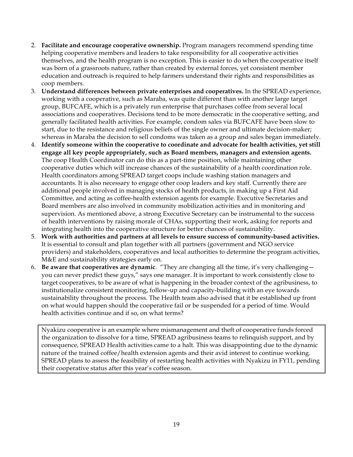- 2. **Facilitate and encourage cooperative ownership.** Program managers recommend spending time helping cooperative members and leaders to take responsibility for all cooperative activities themselves, and the health program is no exception. This is easier to do when the cooperative itself was born of a grassroots nature, rather than created by external forces, yet consistent member education and outreach is required to help farmers understand their rights and responsibilities as coop members.
- 3. **Understand differences between private enterprises and cooperatives.** In the SPREAD experience, working with a cooperative, such as Maraba, was quite different than with another large target group, BUFCAFE, which is a privately run enterprise that purchases coffee from several local associations and cooperatives. Decisions tend to be more democratic in the cooperative setting, and generally facilitated health activities. For example, condom sales via BUFCAFE have been slow to start, due to the resistance and religious beliefs of the single owner and ultimate decision-maker; whereas in Maraba the decision to sell condoms was taken as a group and sales began immediately.
- 4. **Identify someone within the cooperative to coordinate and advocate for health activities, yet still engage all key people appropriately, such as Board members, managers and extension agents.** The coop Health Coordinator can do this as a part-time position, while maintaining other cooperative duties which will increase chances of the sustainability of a health coordination role. Health coordinators among SPREAD target coops include washing station managers and accountants. It is also necessary to engage other coop leaders and key staff. Currently there are additional people involved in managing stocks of health products, in making up a First Aid Committee, and acting as coffee-health extension agents for example. Executive Secretaries and Board members are also involved in community mobilization activities and in monitoring and supervision. As mentioned above, a strong Executive Secretary can be instrumental to the success of health interventions by raising morale of CHAs, supporting their work, asking for reports and integrating health into the cooperative structure for better chances of sustainability.
- 5. **Work with authorities and partners at all levels to ensure success of community-based activities.** It is essential to consult and plan together with all partners (government and NGO service providers) and stakeholders, cooperatives and local authorities to determine the program activities, M&E and sustainability strategies early on.
- 6. **Be aware that cooperatives are dynamic**. "They are changing all the time, it's very challenging you can never predict these guys," says one manager. It is important to work consistently close to target cooperatives, to be aware of what is happening in the broader context of the agribusiness, to institutionalize consistent monitoring, follow-up and capacity-building with an eye towards sustainability throughout the process. The Health team also advised that it be established up front on what would happen should the cooperative fail or be suspended for a period of time. Would health activities continue and if so, on what terms?

Nyakizu cooperative is an example where mismanagement and theft of cooperative funds forced the organization to dissolve for a time, SPREAD agribusiness teams to relinquish support, and by consequence, SPREAD Health activities came to a halt. This was disappointing due to the dynamic nature of the trained coffee/health extension agents and their avid interest to continue working. SPREAD plans to assess the feasibility of restarting health activities with Nyakizu in FY11, pending their cooperative status after this year's coffee season.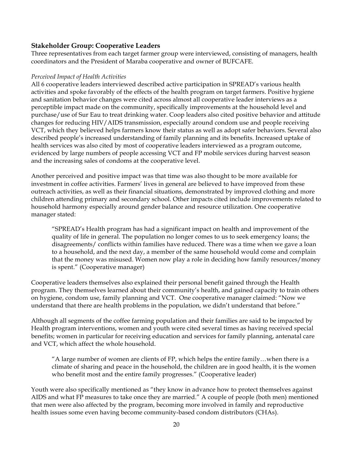#### **Stakeholder Group: Cooperative Leaders**

Three representatives from each target farmer group were interviewed, consisting of managers, health coordinators and the President of Maraba cooperative and owner of BUFCAFE.

#### *Perceived Impact of Health Activities*

All 6 cooperative leaders interviewed described active participation in SPREAD's various health activities and spoke favorably of the effects of the health program on target farmers. Positive hygiene and sanitation behavior changes were cited across almost all cooperative leader interviews as a perceptible impact made on the community, specifically improvements at the household level and purchase/use of Sur Eau to treat drinking water. Coop leaders also cited positive behavior and attitude changes for reducing HIV/AIDS transmission, especially around condom use and people receiving VCT, which they believed helps farmers know their status as well as adopt safer behaviors. Several also described people's increased understanding of family planning and its benefits. Increased uptake of health services was also cited by most of cooperative leaders interviewed as a program outcome, evidenced by large numbers of people accessing VCT and FP mobile services during harvest season and the increasing sales of condoms at the cooperative level.

Another perceived and positive impact was that time was also thought to be more available for investment in coffee activities. Farmers' lives in general are believed to have improved from these outreach activities, as well as their financial situations, demonstrated by improved clothing and more children attending primary and secondary school. Other impacts cited include improvements related to household harmony especially around gender balance and resource utilization. One cooperative manager stated:

"SPREAD's Health program has had a significant impact on health and improvement of the quality of life in general. The population no longer comes to us to seek emergency loans; the disagreements/ conflicts within families have reduced. There was a time when we gave a loan to a household, and the next day, a member of the same household would come and complain that the money was misused. Women now play a role in deciding how family resources/money is spent." (Cooperative manager)

Cooperative leaders themselves also explained their personal benefit gained through the Health program. They themselves learned about their community's health, and gained capacity to train others on hygiene, condom use, family planning and VCT. One cooperative manager claimed: "Now we understand that there are health problems in the population, we didn't understand that before."

Although all segments of the coffee farming population and their families are said to be impacted by Health program interventions, women and youth were cited several times as having received special benefits; women in particular for receiving education and services for family planning, antenatal care and VCT, which affect the whole household.

"A large number of women are clients of FP, which helps the entire family…when there is a climate of sharing and peace in the household, the children are in good health, it is the women who benefit most and the entire family progresses." (Cooperative leader)

Youth were also specifically mentioned as "they know in advance how to protect themselves against AIDS and what FP measures to take once they are married." A couple of people (both men) mentioned that men were also affected by the program, becoming more involved in family and reproductive health issues some even having become community-based condom distributors (CHAs).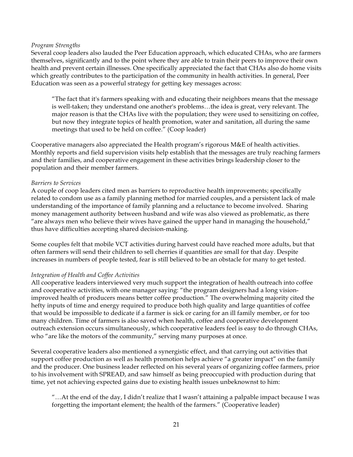#### *Program Strengths*

Several coop leaders also lauded the Peer Education approach, which educated CHAs, who are farmers themselves, significantly and to the point where they are able to train their peers to improve their own health and prevent certain illnesses. One specifically appreciated the fact that CHAs also do home visits which greatly contributes to the participation of the community in health activities. In general, Peer Education was seen as a powerful strategy for getting key messages across:

"The fact that it's farmers speaking with and educating their neighbors means that the message is well-taken; they understand one another's problems…the idea is great, very relevant. The major reason is that the CHAs live with the population; they were used to sensitizing on coffee, but now they integrate topics of health promotion, water and sanitation, all during the same meetings that used to be held on coffee." (Coop leader)

Cooperative managers also appreciated the Health program's rigorous M&E of health activities. Monthly reports and field supervision visits help establish that the messages are truly reaching farmers and their families, and cooperative engagement in these activities brings leadership closer to the population and their member farmers.

#### *Barriers to Services*

A couple of coop leaders cited men as barriers to reproductive health improvements; specifically related to condom use as a family planning method for married couples, and a persistent lack of male understanding of the importance of family planning and a reluctance to become involved. Sharing money management authority between husband and wife was also viewed as problematic, as there "are always men who believe their wives have gained the upper hand in managing the household," thus have difficulties accepting shared decision-making.

Some couples felt that mobile VCT activities during harvest could have reached more adults, but that often farmers will send their children to sell cherries if quantities are small for that day. Despite increases in numbers of people tested, fear is still believed to be an obstacle for many to get tested.

#### *Integration of Health and Coffee Activities*

All cooperative leaders interviewed very much support the integration of health outreach into coffee and cooperative activities, with one manager saying: "the program designers had a long visionimproved health of producers means better coffee production." The overwhelming majority cited the hefty inputs of time and energy required to produce both high quality and large quantities of coffee that would be impossible to dedicate if a farmer is sick or caring for an ill family member, or for too many children. Time of farmers is also saved when health, coffee and cooperative development outreach extension occurs simultaneously, which cooperative leaders feel is easy to do through CHAs, who "are like the motors of the community," serving many purposes at once.

Several cooperative leaders also mentioned a synergistic effect, and that carrying out activities that support coffee production as well as health promotion helps achieve "a greater impact" on the family and the producer. One business leader reflected on his several years of organizing coffee farmers, prior to his involvement with SPREAD, and saw himself as being preoccupied with production during that time, yet not achieving expected gains due to existing health issues unbeknownst to him:

"…At the end of the day, I didn't realize that I wasn't attaining a palpable impact because I was forgetting the important element; the health of the farmers." (Cooperative leader)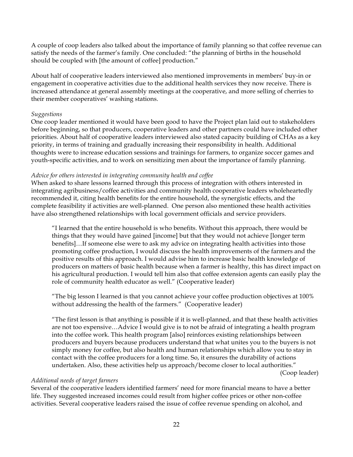A couple of coop leaders also talked about the importance of family planning so that coffee revenue can satisfy the needs of the farmer's family. One concluded: "the planning of births in the household should be coupled with [the amount of coffee] production."

About half of cooperative leaders interviewed also mentioned improvements in members' buy-in or engagement in cooperative activities due to the additional health services they now receive. There is increased attendance at general assembly meetings at the cooperative, and more selling of cherries to their member cooperatives' washing stations.

#### *Suggestions*

One coop leader mentioned it would have been good to have the Project plan laid out to stakeholders before beginning, so that producers, cooperative leaders and other partners could have included other priorities. About half of cooperative leaders interviewed also stated capacity building of CHAs as a key priority, in terms of training and gradually increasing their responsibility in health. Additional thoughts were to increase education sessions and trainings for farmers, to organize soccer games and youth-specific activities, and to work on sensitizing men about the importance of family planning.

#### *Advice for others interested in integrating community health and coffee*

When asked to share lessons learned through this process of integration with others interested in integrating agribusiness/coffee activities and community health cooperative leaders wholeheartedly recommended it, citing health benefits for the entire household, the synergistic effects, and the complete feasibility if activities are well-planned. One person also mentioned these health activities have also strengthened relationships with local government officials and service providers.

"I learned that the entire household is who benefits. Without this approach, there would be things that they would have gained [income] but that they would not achieve [longer term benefits]…If someone else were to ask my advice on integrating health activities into those promoting coffee production, I would discuss the health improvements of the farmers and the positive results of this approach. I would advise him to increase basic health knowledge of producers on matters of basic health because when a farmer is healthy, this has direct impact on his agricultural production. I would tell him also that coffee extension agents can easily play the role of community health educator as well." (Cooperative leader)

"The big lesson I learned is that you cannot achieve your coffee production objectives at 100% without addressing the health of the farmers." (Cooperative leader)

"The first lesson is that anything is possible if it is well-planned, and that these health activities are not too expensive…Advice I would give is to not be afraid of integrating a health program into the coffee work. This health program [also] reinforces existing relationships between producers and buyers because producers understand that what unites you to the buyers is not simply money for coffee, but also health and human relationships which allow you to stay in contact with the coffee producers for a long time. So, it ensures the durability of actions undertaken. Also, these activities help us approach/become closer to local authorities."

(Coop leader)

#### *Additional needs of target farmers*

Several of the cooperative leaders identified farmers' need for more financial means to have a better life. They suggested increased incomes could result from higher coffee prices or other non-coffee activities. Several cooperative leaders raised the issue of coffee revenue spending on alcohol, and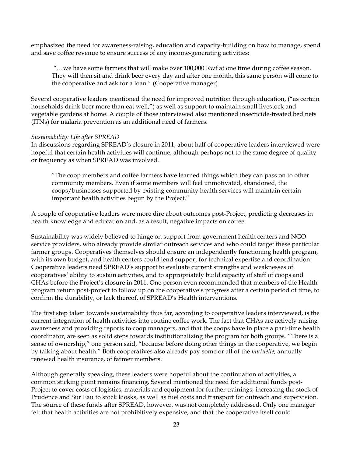emphasized the need for awareness-raising, education and capacity-building on how to manage, spend and save coffee revenue to ensure success of any income-generating activities:

"…we have some farmers that will make over 100,000 Rwf at one time during coffee season. They will then sit and drink beer every day and after one month, this same person will come to the cooperative and ask for a loan." (Cooperative manager)

Several cooperative leaders mentioned the need for improved nutrition through education, ("as certain households drink beer more than eat well,") as well as support to maintain small livestock and vegetable gardens at home. A couple of those interviewed also mentioned insecticide-treated bed nets (ITNs) for malaria prevention as an additional need of farmers.

#### *Sustainability: Life after SPREAD*

In discussions regarding SPREAD's closure in 2011, about half of cooperative leaders interviewed were hopeful that certain health activities will continue, although perhaps not to the same degree of quality or frequency as when SPREAD was involved.

"The coop members and coffee farmers have learned things which they can pass on to other community members. Even if some members will feel unmotivated, abandoned, the coops/businesses supported by existing community health services will maintain certain important health activities begun by the Project."

A couple of cooperative leaders were more dire about outcomes post-Project, predicting decreases in health knowledge and education and, as a result, negative impacts on coffee.

Sustainability was widely believed to hinge on support from government health centers and NGO service providers, who already provide similar outreach services and who could target these particular farmer groups. Cooperatives themselves should ensure an independently functioning health program, with its own budget, and health centers could lend support for technical expertise and coordination. Cooperative leaders need SPREAD's support to evaluate current strengths and weaknesses of cooperatives' ability to sustain activities, and to appropriately build capacity of staff of coops and CHAs before the Project's closure in 2011. One person even recommended that members of the Health program return post-project to follow up on the cooperative's progress after a certain period of time, to confirm the durability, or lack thereof, of SPREAD's Health interventions.

The first step taken towards sustainability thus far, according to cooperative leaders interviewed, is the current integration of health activities into routine coffee work. The fact that CHAs are actively raising awareness and providing reports to coop managers, and that the coops have in place a part-time health coordinator, are seen as solid steps towards institutionalizing the program for both groups. "There is a sense of ownership," one person said, "because before doing other things in the cooperative, we begin by talking about health." Both cooperatives also already pay some or all of the *mutuelle,* annually renewed health insurance, of farmer members.

Although generally speaking, these leaders were hopeful about the continuation of activities, a common sticking point remains financing. Several mentioned the need for additional funds post-Project to cover costs of logistics, materials and equipment for further trainings, increasing the stock of Prudence and Sur Eau to stock kiosks, as well as fuel costs and transport for outreach and supervision. The source of these funds after SPREAD, however, was not completely addressed. Only one manager felt that health activities are not prohibitively expensive, and that the cooperative itself could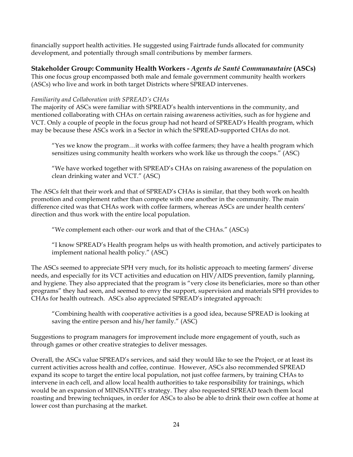financially support health activities. He suggested using Fairtrade funds allocated for community development, and potentially through small contributions by member farmers.

## **Stakeholder Group: Community Health Workers -** *Agents de Santé Communautaire* **(ASCs)**

This one focus group encompassed both male and female government community health workers (ASCs) who live and work in both target Districts where SPREAD intervenes.

#### *Familiarity and Collaboration with SPREAD's CHAs*

The majority of ASCs were familiar with SPREAD's health interventions in the community, and mentioned collaborating with CHAs on certain raising awareness activities, such as for hygiene and VCT. Only a couple of people in the focus group had not heard of SPREAD's Health program, which may be because these ASCs work in a Sector in which the SPREAD-supported CHAs do not.

"Yes we know the program…it works with coffee farmers; they have a health program which sensitizes using community health workers who work like us through the coops." (ASC)

"We have worked together with SPREAD's CHAs on raising awareness of the population on clean drinking water and VCT." (ASC)

The ASCs felt that their work and that of SPREAD's CHAs is similar, that they both work on health promotion and complement rather than compete with one another in the community. The main difference cited was that CHAs work with coffee farmers, whereas ASCs are under health centers' direction and thus work with the entire local population.

"We complement each other- our work and that of the CHAs." (ASCs)

"I know SPREAD's Health program helps us with health promotion, and actively participates to implement national health policy." (ASC)

The ASCs seemed to appreciate SPH very much, for its holistic approach to meeting farmers' diverse needs, and especially for its VCT activities and education on HIV/AIDS prevention, family planning, and hygiene. They also appreciated that the program is "very close its beneficiaries, more so than other programs" they had seen, and seemed to envy the support, supervision and materials SPH provides to CHAs for health outreach. ASCs also appreciated SPREAD's integrated approach:

"Combining health with cooperative activities is a good idea, because SPREAD is looking at saving the entire person and his/her family." (ASC)

Suggestions to program managers for improvement include more engagement of youth, such as through games or other creative strategies to deliver messages.

Overall, the ASCs value SPREAD's services, and said they would like to see the Project, or at least its current activities across health and coffee, continue. However, ASCs also recommended SPREAD expand its scope to target the entire local population, not just coffee farmers, by training CHAs to intervene in each cell, and allow local health authorities to take responsibility for trainings, which would be an expansion of MINISANTE's strategy. They also requested SPREAD teach them local roasting and brewing techniques, in order for ASCs to also be able to drink their own coffee at home at lower cost than purchasing at the market.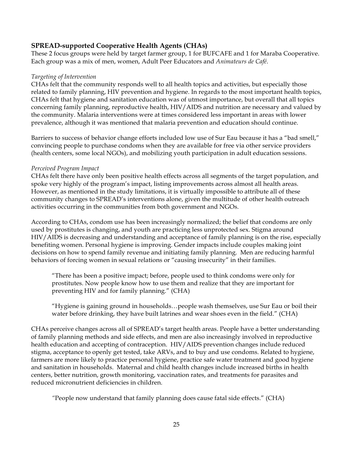## **SPREAD-supported Cooperative Health Agents (CHAs)**

These 2 focus groups were held by target farmer group, 1 for BUFCAFE and 1 for Maraba Cooperative. Each group was a mix of men, women, Adult Peer Educators and *Animateurs de Café*.

#### *Targeting of Intervention*

CHAs felt that the community responds well to all health topics and activities, but especially those related to family planning, HIV prevention and hygiene. In regards to the most important health topics, CHAs felt that hygiene and sanitation education was of utmost importance, but overall that all topics concerning family planning, reproductive health, HIV/AIDS and nutrition are necessary and valued by the community. Malaria interventions were at times considered less important in areas with lower prevalence, although it was mentioned that malaria prevention and education should continue.

Barriers to success of behavior change efforts included low use of Sur Eau because it has a "bad smell," convincing people to purchase condoms when they are available for free via other service providers (health centers, some local NGOs), and mobilizing youth participation in adult education sessions.

#### *Perceived Program Impact*

CHAs felt there have only been positive health effects across all segments of the target population, and spoke very highly of the program's impact, listing improvements across almost all health areas. However, as mentioned in the study limitations, it is virtually impossible to attribute all of these community changes to SPREAD's interventions alone, given the multitude of other health outreach activities occurring in the communities from both government and NGOs.

According to CHAs, condom use has been increasingly normalized; the belief that condoms are only used by prostitutes is changing, and youth are practicing less unprotected sex. Stigma around HIV/AIDS is decreasing and understanding and acceptance of family planning is on the rise, especially benefiting women. Personal hygiene is improving. Gender impacts include couples making joint decisions on how to spend family revenue and initiating family planning. Men are reducing harmful behaviors of forcing women in sexual relations or "causing insecurity" in their families.

"There has been a positive impact; before, people used to think condoms were only for prostitutes. Now people know how to use them and realize that they are important for preventing HIV and for family planning." (CHA)

"Hygiene is gaining ground in households…people wash themselves, use Sur Eau or boil their water before drinking, they have built latrines and wear shoes even in the field." (CHA)

CHAs perceive changes across all of SPREAD's target health areas. People have a better understanding of family planning methods and side effects, and men are also increasingly involved in reproductive health education and accepting of contraception. HIV/AIDS prevention changes include reduced stigma, acceptance to openly get tested, take ARVs, and to buy and use condoms. Related to hygiene, farmers are more likely to practice personal hygiene, practice safe water treatment and good hygiene and sanitation in households. Maternal and child health changes include increased births in health centers, better nutrition, growth monitoring, vaccination rates, and treatments for parasites and reduced micronutrient deficiencies in children.

*"*People now understand that family planning does cause fatal side effects." (CHA)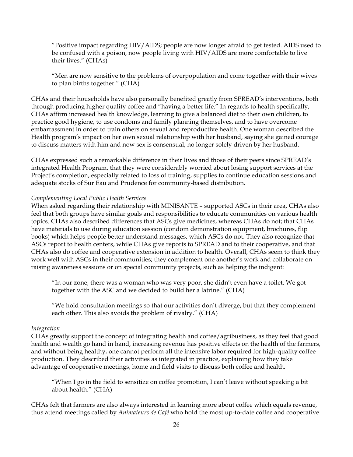"Positive impact regarding HIV/AIDS; people are now longer afraid to get tested. AIDS used to be confused with a poison, now people living with HIV/AIDS are more comfortable to live their lives." (CHAs)

"Men are now sensitive to the problems of overpopulation and come together with their wives to plan births together." (CHA)

CHAs and their households have also personally benefited greatly from SPREAD's interventions, both through producing higher quality coffee and "having a better life." In regards to health specifically, CHAs affirm increased health knowledge, learning to give a balanced diet to their own children, to practice good hygiene, to use condoms and family planning themselves, and to have overcome embarrassment in order to train others on sexual and reproductive health. One woman described the Health program's impact on her own sexual relationship with her husband, saying she gained courage to discuss matters with him and now sex is consensual, no longer solely driven by her husband.

CHAs expressed such a remarkable difference in their lives and those of their peers since SPREAD's integrated Health Program, that they were considerably worried about losing support services at the Project's completion, especially related to loss of training, supplies to continue education sessions and adequate stocks of Sur Eau and Prudence for community-based distribution.

#### *Complementing Local Public Health Services*

When asked regarding their relationship with MINISANTE – supported ASCs in their area, CHAs also feel that both groups have similar goals and responsibilities to educate communities on various health topics. CHAs also described differences that ASCs give medicines, whereas CHAs do not; that CHAs have materials to use during education session (condom demonstration equipment, brochures, flip books) which helps people better understand messages, which ASCs do not. They also recognize that ASCs report to health centers, while CHAs give reports to SPREAD and to their cooperative, and that CHAs also do coffee and cooperative extension in addition to health. Overall, CHAs seem to think they work well with ASCs in their communities; they complement one another's work and collaborate on raising awareness sessions or on special community projects, such as helping the indigent:

"In our zone, there was a woman who was very poor, she didn't even have a toilet. We got together with the ASC and we decided to build her a latrine." (CHA)

"We hold consultation meetings so that our activities don't diverge, but that they complement each other. This also avoids the problem of rivalry." (CHA)

#### *Integration*

CHAs greatly support the concept of integrating health and coffee/agribusiness, as they feel that good health and wealth go hand in hand, increasing revenue has positive effects on the health of the farmers, and without being healthy, one cannot perform all the intensive labor required for high-quality coffee production. They described their activities as integrated in practice, explaining how they take advantage of cooperative meetings, home and field visits to discuss both coffee and health.

"When I go in the field to sensitize on coffee promotion, I can't leave without speaking a bit about health." (CHA)

CHAs felt that farmers are also always interested in learning more about coffee which equals revenue, thus attend meetings called by *Animateurs de Café* who hold the most up-to-date coffee and cooperative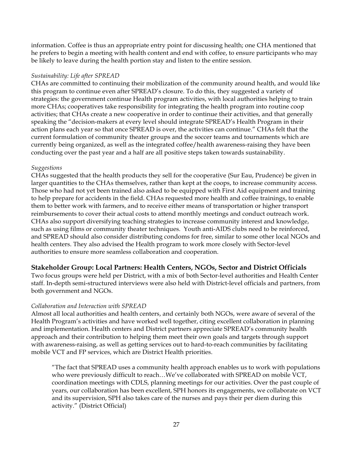information. Coffee is thus an appropriate entry point for discussing health; one CHA mentioned that he prefers to begin a meeting with health content and end with coffee, to ensure participants who may be likely to leave during the health portion stay and listen to the entire session.

#### *Sustainability: Life after SPREAD*

CHAs are committed to continuing their mobilization of the community around health, and would like this program to continue even after SPREAD's closure. To do this, they suggested a variety of strategies: the government continue Health program activities, with local authorities helping to train more CHAs; cooperatives take responsibility for integrating the health program into routine coop activities; that CHAs create a new cooperative in order to continue their activities, and that generally speaking the "decision-makers at every level should integrate SPREAD's Health Program in their action plans each year so that once SPREAD is over, the activities can continue." CHAs felt that the current formulation of community theater groups and the soccer teams and tournaments which are currently being organized, as well as the integrated coffee/health awareness-raising they have been conducting over the past year and a half are all positive steps taken towards sustainability.

#### *Suggestions*

CHAs suggested that the health products they sell for the cooperative (Sur Eau, Prudence) be given in larger quantities to the CHAs themselves, rather than kept at the coops, to increase community access. Those who had not yet been trained also asked to be equipped with First Aid equipment and training to help prepare for accidents in the field. CHAs requested more health and coffee trainings, to enable them to better work with farmers, and to receive either means of transportation or higher transport reimbursements to cover their actual costs to attend monthly meetings and conduct outreach work. CHAs also support diversifying teaching strategies to increase community interest and knowledge, such as using films or community theater techniques. Youth anti-AIDS clubs need to be reinforced, and SPREAD should also consider distributing condoms for free, similar to some other local NGOs and health centers. They also advised the Health program to work more closely with Sector-level authorities to ensure more seamless collaboration and cooperation.

#### **Stakeholder Group: Local Partners: Health Centers, NGOs, Sector and District Officials**

Two focus groups were held per District, with a mix of both Sector-level authorities and Health Center staff. In-depth semi-structured interviews were also held with District-level officials and partners, from both government and NGOs.

#### *Collaboration and Interaction with SPREAD*

Almost all local authorities and health centers, and certainly both NGOs, were aware of several of the Health Program's activities and have worked well together, citing excellent collaboration in planning and implementation. Health centers and District partners appreciate SPREAD's community health approach and their contribution to helping them meet their own goals and targets through support with awareness-raising, as well as getting services out to hard-to-reach communities by facilitating mobile VCT and FP services, which are District Health priorities.

"The fact that SPREAD uses a community health approach enables us to work with populations who were previously difficult to reach…We've collaborated with SPREAD on mobile VCT, coordination meetings with CDLS, planning meetings for our activities. Over the past couple of years, our collaboration has been excellent, SPH honors its engagements, we collaborate on VCT and its supervision, SPH also takes care of the nurses and pays their per diem during this activity." (District Official)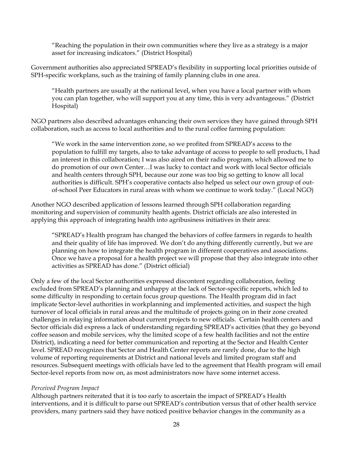"Reaching the population in their own communities where they live as a strategy is a major asset for increasing indicators." (District Hospital)

Government authorities also appreciated SPREAD's flexibility in supporting local priorities outside of SPH-specific workplans, such as the training of family planning clubs in one area.

"Health partners are usually at the national level, when you have a local partner with whom you can plan together, who will support you at any time, this is very advantageous." (District Hospital)

NGO partners also described advantages enhancing their own services they have gained through SPH collaboration, such as access to local authorities and to the rural coffee farming population:

"We work in the same intervention zone, so we profited from SPREAD's access to the population to fulfill my targets, also to take advantage of access to people to sell products, I had an interest in this collaboration; I was also aired on their radio program, which allowed me to do promotion of our own Center…I was lucky to contact and work with local Sector officials and health centers through SPH, because our zone was too big so getting to know all local authorities is difficult. SPH's cooperative contacts also helped us select our own group of outof-school Peer Educators in rural areas with whom we continue to work today." (Local NGO)

Another NGO described application of lessons learned through SPH collaboration regarding monitoring and supervision of community health agents. District officials are also interested in applying this approach of integrating health into agribusiness initiatives in their area:

"SPREAD's Health program has changed the behaviors of coffee farmers in regards to health and their quality of life has improved. We don't do anything differently currently, but we are planning on how to integrate the health program in different cooperatives and associations. Once we have a proposal for a health project we will propose that they also integrate into other activities as SPREAD has done." (District official)

Only a few of the local Sector authorities expressed discontent regarding collaboration, feeling excluded from SPREAD's planning and unhappy at the lack of Sector-specific reports, which led to some difficulty in responding to certain focus group questions. The Health program did in fact implicate Sector-level authorities in workplanning and implemented activities, and suspect the high turnover of local officials in rural areas and the multitude of projects going on in their zone created challenges in relaying information about current projects to new officials. Certain health centers and Sector officials did express a lack of understanding regarding SPREAD's activities (that they go beyond coffee season and mobile services, why the limited scope of a few health facilities and not the entire District), indicating a need for better communication and reporting at the Sector and Health Center level. SPREAD recognizes that Sector and Health Center reports are rarely done, due to the high volume of reporting requirements at District and national levels and limited program staff and resources. Subsequent meetings with officials have led to the agreement that Health program will email Sector-level reports from now on, as most administrators now have some internet access.

#### *Perceived Program Impact*

Although partners reiterated that it is too early to ascertain the impact of SPREAD's Health interventions, and it is difficult to parse out SPREAD's contribution versus that of other health service providers, many partners said they have noticed positive behavior changes in the community as a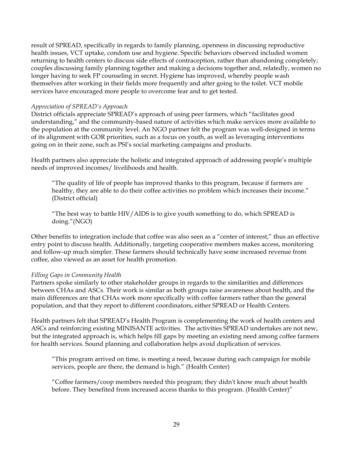result of SPREAD, specifically in regards to family planning, openness in discussing reproductive health issues, VCT uptake, condom use and hygiene. Specific behaviors observed included women returning to health centers to discuss side effects of contraception, rather than abandoning completely; couples discussing family planning together and making a decisions together and, relatedly, women no longer having to seek FP counseling in secret. Hygiene has improved, whereby people wash themselves after working in their fields more frequently and after going to the toilet. VCT mobile services have encouraged more people to overcome fear and to get tested.

#### *Appreciation of SPREAD's Approach*

District officials appreciate SPREAD's approach of using peer farmers, which "facilitates good understanding," and the community-based nature of activities which make services more available to the population at the community level. An NGO partner felt the program was well-designed in terms of its alignment with GOR priorities, such as a focus on youth, as well as leveraging interventions going on in their zone, such as PSI's social marketing campaigns and products.

Health partners also appreciate the holistic and integrated approach of addressing people's multiple needs of improved incomes/ livelihoods and health.

"The quality of life of people has improved thanks to this program, because if farmers are healthy, they are able to do their coffee activities no problem which increases their income." (District official)

"The best way to battle HIV/AIDS is to give youth something to do, which SPREAD is doing."(NGO)

Other benefits to integration include that coffee was also seen as a "center of interest," thus an effective entry point to discuss health. Additionally, targeting cooperative members makes access, monitoring and follow-up much simpler. These farmers should technically have some increased revenue from coffee, also viewed as an asset for health promotion.

#### *Filling Gaps in Community Health*

Partners spoke similarly to other stakeholder groups in regards to the similarities and differences between CHAs and ASCs. Their work is similar as both groups raise awareness about health, and the main differences are that CHAs work more specifically with coffee farmers rather than the general population, and that they report to different coordinators, either SPREAD or Health Centers.

Health partners felt that SPREAD's Health Program is complementing the work of health centers and ASCs and reinforcing existing MINISANTE activities. The activities SPREAD undertakes are not new, but the integrated approach is, which helps fill gaps by meeting an existing need among coffee farmers for health services. Sound planning and collaboration helps avoid duplication of services.

"This program arrived on time, is meeting a need, because during each campaign for mobile services, people are there, the demand is high." (Health Center)

"Coffee farmers/coop members needed this program; they didn't know much about health before. They benefited from increased access thanks to this program. (Health Center)"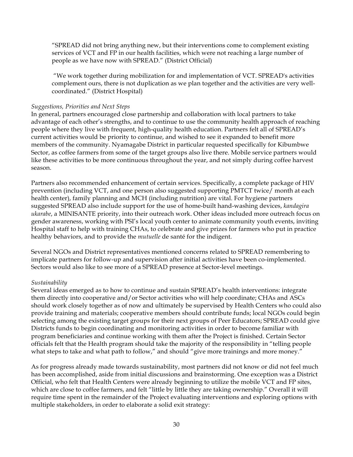"SPREAD did not bring anything new, but their interventions come to complement existing services of VCT and FP in our health facilities, which were not reaching a large number of people as we have now with SPREAD." (District Official)

 "We work together during mobilization for and implementation of VCT. SPREAD's activities complement ours, there is not duplication as we plan together and the activities are very wellcoordinated." (District Hospital)

#### *Suggestions, Priorities and Next Steps*

In general, partners encouraged close partnership and collaboration with local partners to take advantage of each other's strengths, and to continue to use the community health approach of reaching people where they live with frequent, high-quality health education. Partners felt all of SPREAD's current activities would be priority to continue, and wished to see it expanded to benefit more members of the community. Nyamagabe District in particular requested specifically for Kibumbwe Sector, as coffee farmers from some of the target groups also live there. Mobile service partners would like these activities to be more continuous throughout the year, and not simply during coffee harvest season.

Partners also recommended enhancement of certain services. Specifically, a complete package of HIV prevention (including VCT, and one person also suggested supporting PMTCT twice/ month at each health center), family planning and MCH (including nutrition) are vital. For hygiene partners suggested SPREAD also include support for the use of home-built hand-washing devices, *kandagira ukarabe*, a MINISANTE priority, into their outreach work. Other ideas included more outreach focus on gender awareness, working with PSI's local youth center to animate community youth events, inviting Hospital staff to help with training CHAs, to celebrate and give prizes for farmers who put in practice healthy behaviors, and to provide the *mutuelle* de santé for the indigent.

Several NGOs and District representatives mentioned concerns related to SPREAD remembering to implicate partners for follow-up and supervision after initial activities have been co-implemented. Sectors would also like to see more of a SPREAD presence at Sector-level meetings.

#### *Sustainability*

Several ideas emerged as to how to continue and sustain SPREAD's health interventions: integrate them directly into cooperative and/or Sector activities who will help coordinate; CHAs and ASCs should work closely together as of now and ultimately be supervised by Health Centers who could also provide training and materials; cooperative members should contribute funds; local NGOs could begin selecting among the existing target groups for their next groups of Peer Educators; SPREAD could give Districts funds to begin coordinating and monitoring activities in order to become familiar with program beneficiaries and continue working with them after the Project is finished. Certain Sector officials felt that the Health program should take the majority of the responsibility in "telling people what steps to take and what path to follow," and should "give more trainings and more money."

As for progress already made towards sustainability, most partners did not know or did not feel much has been accomplished, aside from initial discussions and brainstorming. One exception was a District Official, who felt that Health Centers were already beginning to utilize the mobile VCT and FP sites, which are close to coffee farmers, and felt "little by little they are taking ownership." Overall it will require time spent in the remainder of the Project evaluating interventions and exploring options with multiple stakeholders, in order to elaborate a solid exit strategy: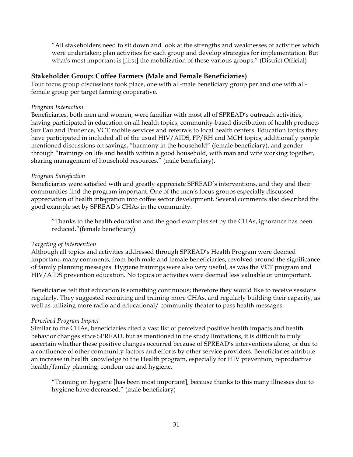"All stakeholders need to sit down and look at the strengths and weaknesses of activities which were undertaken; plan activities for each group and develop strategies for implementation. But what's most important is [first] the mobilization of these various groups." (District Official)

#### **Stakeholder Group: Coffee Farmers (Male and Female Beneficiaries)**

Four focus group discussions took place, one with all-male beneficiary group per and one with allfemale group per target farming cooperative.

#### *Program Interaction*

Beneficiaries, both men and women, were familiar with most all of SPREAD's outreach activities, having participated in education on all health topics, community-based distribution of health products Sur Eau and Prudence, VCT mobile services and referrals to local health centers. Education topics they have participated in included all of the usual HIV/AIDS, FP/RH and MCH topics; additionally people mentioned discussions on savings, "harmony in the household" (female beneficiary), and gender through "trainings on life and health within a good household, with man and wife working together, sharing management of household resources," (male beneficiary).

#### *Program Satisfaction*

Beneficiaries were satisfied with and greatly appreciate SPREAD's interventions, and they and their communities find the program important. One of the men's focus groups especially discussed appreciation of health integration into coffee sector development. Several comments also described the good example set by SPREAD's CHAs in the community.

"Thanks to the health education and the good examples set by the CHAs, ignorance has been reduced."(female beneficiary)

#### *Targeting of Intervention*

Although all topics and activities addressed through SPREAD's Health Program were deemed important, many comments, from both male and female beneficiaries, revolved around the significance of family planning messages. Hygiene trainings were also very useful, as was the VCT program and HIV/AIDS prevention education. No topics or activities were deemed less valuable or unimportant.

Beneficiaries felt that education is something continuous; therefore they would like to receive sessions regularly. They suggested recruiting and training more CHAs, and regularly building their capacity, as well as utilizing more radio and educational/ community theater to pass health messages.

#### *Perceived Program Impact*

Similar to the CHAs, beneficiaries cited a vast list of perceived positive health impacts and health behavior changes since SPREAD, but as mentioned in the study limitations, it is difficult to truly ascertain whether these positive changes occurred because of SPREAD's interventions alone, or due to a confluence of other community factors and efforts by other service providers. Beneficiaries attribute an increase in health knowledge to the Health program, especially for HIV prevention, reproductive health/family planning, condom use and hygiene.

"Training on hygiene [has been most important], because thanks to this many illnesses due to hygiene have decreased." (male beneficiary)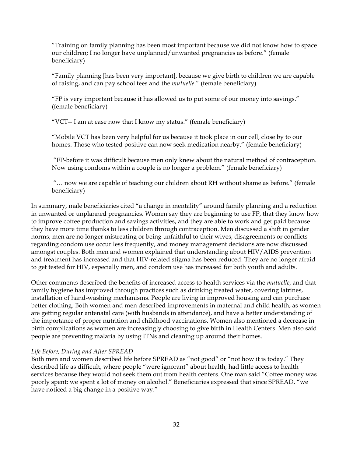"Training on family planning has been most important because we did not know how to space our children; I no longer have unplanned/unwanted pregnancies as before." (female beneficiary)

"Family planning [has been very important], because we give birth to children we are capable of raising, and can pay school fees and the *mutuelle*." (female beneficiary)

"FP is very important because it has allowed us to put some of our money into savings." (female beneficiary)

"VCT-- I am at ease now that I know my status." (female beneficiary)

"Mobile VCT has been very helpful for us because it took place in our cell, close by to our homes. Those who tested positive can now seek medication nearby." (female beneficiary)

 "FP-before it was difficult because men only knew about the natural method of contraception. Now using condoms within a couple is no longer a problem." (female beneficiary)

 "… now we are capable of teaching our children about RH without shame as before." (female beneficiary)

In summary, male beneficiaries cited "a change in mentality" around family planning and a reduction in unwanted or unplanned pregnancies. Women say they are beginning to use FP, that they know how to improve coffee production and savings activities, and they are able to work and get paid because they have more time thanks to less children through contraception. Men discussed a shift in gender norms; men are no longer mistreating or being unfaithful to their wives, disagreements or conflicts regarding condom use occur less frequently, and money management decisions are now discussed amongst couples. Both men and women explained that understanding about HIV/AIDS prevention and treatment has increased and that HIV-related stigma has been reduced. They are no longer afraid to get tested for HIV, especially men, and condom use has increased for both youth and adults.

Other comments described the benefits of increased access to health services via the *mutuelle*, and that family hygiene has improved through practices such as drinking treated water, covering latrines, installation of hand-washing mechanisms. People are living in improved housing and can purchase better clothing. Both women and men described improvements in maternal and child health, as women are getting regular antenatal care (with husbands in attendance), and have a better understanding of the importance of proper nutrition and childhood vaccinations. Women also mentioned a decrease in birth complications as women are increasingly choosing to give birth in Health Centers. Men also said people are preventing malaria by using ITNs and cleaning up around their homes.

#### *Life Before, During and After SPREAD*

Both men and women described life before SPREAD as "not good" or "not how it is today." They described life as difficult, where people "were ignorant" about health, had little access to health services because they would not seek them out from health centers. One man said "Coffee money was poorly spent; we spent a lot of money on alcohol." Beneficiaries expressed that since SPREAD, "we have noticed a big change in a positive way."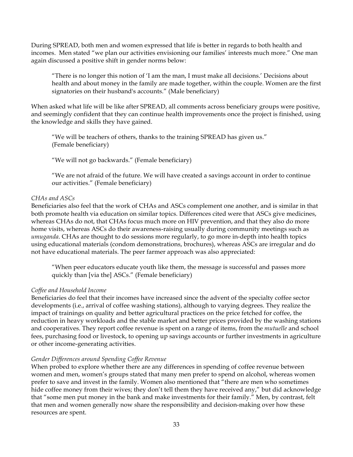During SPREAD, both men and women expressed that life is better in regards to both health and incomes. Men stated "we plan our activities envisioning our families' interests much more." One man again discussed a positive shift in gender norms below:

"There is no longer this notion of 'I am the man, I must make all decisions.' Decisions about health and about money in the family are made together, within the couple. Women are the first signatories on their husband's accounts." (Male beneficiary)

When asked what life will be like after SPREAD, all comments across beneficiary groups were positive, and seemingly confident that they can continue health improvements once the project is finished, using the knowledge and skills they have gained.

"We will be teachers of others, thanks to the training SPREAD has given us." (Female beneficiary)

"We will not go backwards." (Female beneficiary)

"We are not afraid of the future. We will have created a savings account in order to continue our activities." (Female beneficiary)

#### *CHAs and ASCs*

Beneficiaries also feel that the work of CHAs and ASCs complement one another, and is similar in that both promote health via education on similar topics. Differences cited were that ASCs give medicines, whereas CHAs do not, that CHAs focus much more on HIV prevention, and that they also do more home visits, whereas ASCs do their awareness-raising usually during community meetings such as *umuganda*. CHAs are thought to do sessions more regularly, to go more in-depth into health topics using educational materials (condom demonstrations, brochures), whereas ASCs are irregular and do not have educational materials. The peer farmer approach was also appreciated:

"When peer educators educate youth like them, the message is successful and passes more quickly than [via the] ASCs." (Female beneficiary)

#### *Coffee and Household Income*

Beneficiaries do feel that their incomes have increased since the advent of the specialty coffee sector developments (i.e., arrival of coffee washing stations), although to varying degrees. They realize the impact of trainings on quality and better agricultural practices on the price fetched for coffee, the reduction in heavy workloads and the stable market and better prices provided by the washing stations and cooperatives. They report coffee revenue is spent on a range of items, from the *mutuelle* and school fees, purchasing food or livestock, to opening up savings accounts or further investments in agriculture or other income-generating activities.

#### *Gender Differences around Spending Coffee Revenue*

When probed to explore whether there are any differences in spending of coffee revenue between women and men, women's groups stated that many men prefer to spend on alcohol, whereas women prefer to save and invest in the family. Women also mentioned that "there are men who sometimes hide coffee money from their wives; they don't tell them they have received any," but did acknowledge that "some men put money in the bank and make investments for their family." Men, by contrast, felt that men and women generally now share the responsibility and decision-making over how these resources are spent.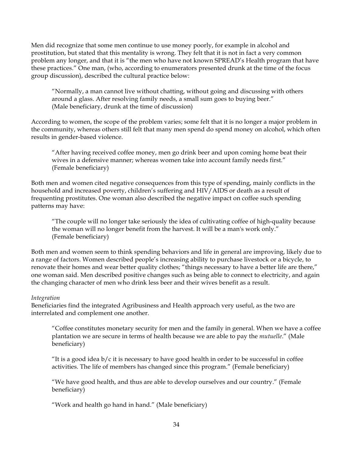Men did recognize that some men continue to use money poorly, for example in alcohol and prostitution, but stated that this mentality is wrong. They felt that it is not in fact a very common problem any longer, and that it is "the men who have not known SPREAD's Health program that have these practices." One man, (who, according to enumerators presented drunk at the time of the focus group discussion), described the cultural practice below:

"Normally, a man cannot live without chatting, without going and discussing with others around a glass. After resolving family needs, a small sum goes to buying beer." (Male beneficiary, drunk at the time of discussion)

According to women, the scope of the problem varies; some felt that it is no longer a major problem in the community, whereas others still felt that many men spend do spend money on alcohol, which often results in gender-based violence.

"After having received coffee money, men go drink beer and upon coming home beat their wives in a defensive manner; whereas women take into account family needs first." (Female beneficiary)

Both men and women cited negative consequences from this type of spending, mainly conflicts in the household and increased poverty, children's suffering and HIV/AIDS or death as a result of frequenting prostitutes. One woman also described the negative impact on coffee such spending patterns may have:

"The couple will no longer take seriously the idea of cultivating coffee of high-quality because the woman will no longer benefit from the harvest. It will be a man's work only." (Female beneficiary)

Both men and women seem to think spending behaviors and life in general are improving, likely due to a range of factors. Women described people's increasing ability to purchase livestock or a bicycle, to renovate their homes and wear better quality clothes; "things necessary to have a better life are there," one woman said. Men described positive changes such as being able to connect to electricity, and again the changing character of men who drink less beer and their wives benefit as a result.

#### *Integration*

Beneficiaries find the integrated Agribusiness and Health approach very useful, as the two are interrelated and complement one another.

"Coffee constitutes monetary security for men and the family in general. When we have a coffee plantation we are secure in terms of health because we are able to pay the *mutuelle*." (Male beneficiary)

"It is a good idea  $b/c$  it is necessary to have good health in order to be successful in coffee activities. The life of members has changed since this program." (Female beneficiary)

"We have good health, and thus are able to develop ourselves and our country." (Female beneficiary)

"Work and health go hand in hand." (Male beneficiary)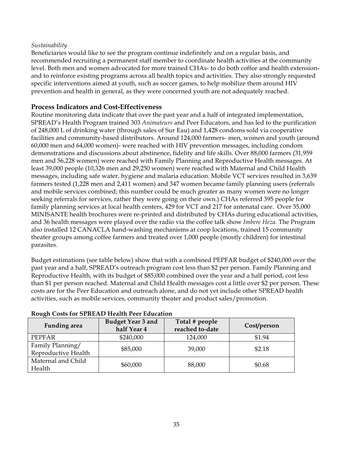#### *Sustainability*

Beneficiaries would like to see the program continue indefinitely and on a regular basis, and recommended recruiting a permanent staff member to coordinate health activities at the community level. Both men and women advocated for more trained CHAs- to do both coffee and health extensionand to reinforce existing programs across all health topics and activities. They also strongly requested specific interventions aimed at youth, such as soccer games, to help mobilize them around HIV prevention and health in general, as they were concerned youth are not adequately reached.

#### **Process Indicators and Cost-Effectiveness**

Routine monitoring data indicate that over the past year and a half of integrated implementation, SPREAD's Health Program trained 303 *Animateurs* and Peer Educators, and has led to the purification of 248,000 L of drinking water (through sales of Sur Eau) and 1,428 condoms sold via cooperative facilities and community-based distributors. Around 124,000 farmers- men, women and youth (around 60,000 men and 64,000 women)- were reached with HIV prevention messages, including condom demonstrations and discussions about abstinence, fidelity and life skills. Over 88,000 farmers (31,959 men and 56,228 women) were reached with Family Planning and Reproductive Health messages. At least 39,000 people (10,326 men and 29,250 women) were reached with Maternal and Child Health messages, including safe water, hygiene and malaria education. Mobile VCT services resulted in 3,639 farmers tested (1,228 men and 2,411 women) and 347 women became family planning users (referrals and mobile services combined; this number could be much greater as many women were no longer seeking referrals for services, rather they were going on their own.) CHAs referred 395 people for family planning services at local health centers, 429 for VCT and 217 for antenatal care. Over 35,000 MINISANTE health brochures were re-printed and distributed by CHAs during educational activities, and 36 health messages were played over the radio via the coffee talk show *Imbere Heza.* The Program also installed 12 CANACLA hand-washing mechanisms at coop locations, trained 15 community theater groups among coffee farmers and treated over 1,000 people (mostly children) for intestinal parasites.

Budget estimations (see table below) show that with a combined PEPFAR budget of \$240,000 over the past year and a half, SPREAD's outreach program cost less than \$2 per person. Family Planning and Reproductive Health, with its budget of \$85,000 combined over the year and a half period, cost less than \$1 per person reached. Maternal and Child Health messages cost a little over \$2 per person. These costs are for the Peer Education and outreach alone, and do not yet include other SPREAD health activities, such as mobile services, community theater and product sales/promotion.

| <b>Funding</b> area | <b>Budget Year 3 and</b> | Total # people  | Cost/person |  |
|---------------------|--------------------------|-----------------|-------------|--|
|                     | half Year 4              | reached to-date |             |  |
| <b>PEPFAR</b>       | \$240,000                | 124,000         | \$1.94      |  |
| Family Planning/    | \$85,000                 | 39,000          | \$2.18      |  |
| Reproductive Health |                          |                 |             |  |
| Maternal and Child  | \$60,000                 | 88,000          | \$0.68      |  |
| Health              |                          |                 |             |  |

#### **Rough Costs for SPREAD Health Peer Education**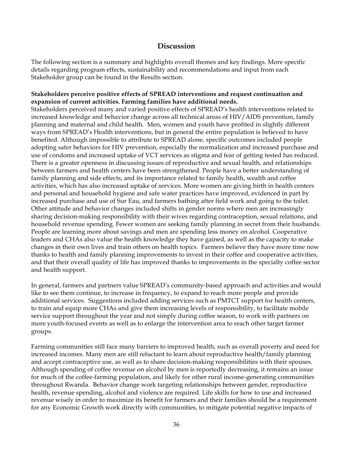## **Discussion**

The following section is a summary and highlights overall themes and key findings. More specific details regarding program effects, sustainability and recommendations and input from each Stakeholder group can be found in the Results section.

#### **Stakeholders perceive positive effects of SPREAD interventions and request continuation and expansion of current activities. Farming families have additional needs.**

Stakeholders perceived many and varied positive effects of SPREAD's health interventions related to increased knowledge and behavior change across all technical areas of HIV/AIDS prevention, family planning and maternal and child health. Men, women and youth have profited in slightly different ways from SPREAD's Health interventions, but in general the entire population is believed to have benefited. Although impossible to attribute to SPREAD alone, specific outcomes included people adopting safer behaviors for HIV prevention, especially the normalization and increased purchase and use of condoms and increased uptake of VCT services as stigma and fear of getting tested has reduced. There is a greater openness in discussing issues of reproductive and sexual health, and relationships between farmers and health centers have been strengthened. People have a better understanding of family planning and side effects, and its importance related to family health, wealth and coffee activities, which has also increased uptake of services. More women are giving birth in health centers and personal and household hygiene and safe water practices have improved, evidenced in part by increased purchase and use of Sur Eau, and farmers bathing after field work and going to the toilet. Other attitude and behavior changes included shifts in gender norms where men are increasingly sharing decision-making responsibility with their wives regarding contraception, sexual relations, and household revenue spending. Fewer women are seeking family planning in secret from their husbands. People are learning more about savings and men are spending less money on alcohol. Cooperative leaders and CHAs also value the health knowledge they have gained, as well as the capacity to make changes in their own lives and train others on health topics. Farmers believe they have more time now thanks to health and family planning improvements to invest in their coffee and cooperative activities, and that their overall quality of life has improved thanks to improvements in the specialty coffee sector and health support.

In general, farmers and partners value SPREAD's community-based approach and activities and would like to see them continue, to increase in frequency, to expand to reach more people and provide additional services. Suggestions included adding services such as PMTCT support for health centers, to train and equip more CHAs and give them increasing levels of responsibility, to facilitate mobile service support throughout the year and not simply during coffee season, to work with partners on more youth-focused events as well as to enlarge the intervention area to reach other target farmer groups.

Farming communities still face many barriers to improved health, such as overall poverty and need for increased incomes. Many men are still reluctant to learn about reproductive health/family planning and accept contraceptive use, as well as to share decision-making responsibilities with their spouses. Although spending of coffee revenue on alcohol by men is reportedly decreasing, it remains an issue for much of the coffee-farming population, and likely for other rural income-generating communities throughout Rwanda. Behavior change work targeting relationships between gender, reproductive health, revenue spending, alcohol and violence are required. Life skills for how to use and increased revenue wisely in order to maximize its benefit for farmers and their families should be a requirement for any Economic Growth work directly with communities, to mitigate potential negative impacts of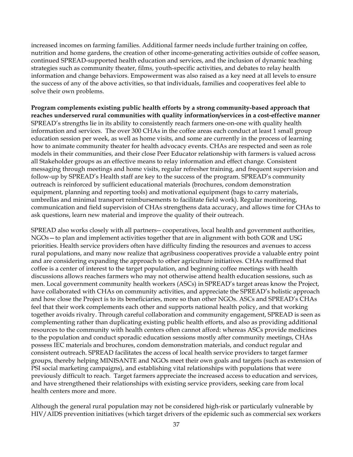increased incomes on farming families. Additional farmer needs include further training on coffee, nutrition and home gardens, the creation of other income-generating activities outside of coffee season, continued SPREAD-supported health education and services, and the inclusion of dynamic teaching strategies such as community theater, films, youth-specific activities, and debates to relay health information and change behaviors. Empowerment was also raised as a key need at all levels to ensure the success of any of the above activities, so that individuals, families and cooperatives feel able to solve their own problems.

**Program complements existing public health efforts by a strong community-based approach that reaches underserved rural communities with quality information/services in a cost-effective manner**  SPREAD's strengths lie in its ability to consistently reach farmers one-on-one with quality health information and services. The over 300 CHAs in the coffee areas each conduct at least 1 small group education session per week, as well as home visits, and some are currently in the process of learning how to animate community theater for health advocacy events. CHAs are respected and seen as role models in their communities, and their close Peer Educator relationship with farmers is valued across all Stakeholder groups as an effective means to relay information and effect change. Consistent messaging through meetings and home visits, regular refresher training, and frequent supervision and follow-up by SPREAD's Health staff are key to the success of the program. SPREAD's community outreach is reinforced by sufficient educational materials (brochures, condom demonstration equipment, planning and reporting tools) and motivational equipment (bags to carry materials, umbrellas and minimal transport reimbursements to facilitate field work). Regular monitoring, communication and field supervision of CHAs strengthens data accuracy, and allows time for CHAs to ask questions, learn new material and improve the quality of their outreach.

SPREAD also works closely with all partners-- cooperatives, local health and government authorities, NGOs—to plan and implement activities together that are in alignment with both GOR and USG priorities. Health service providers often have difficulty finding the resources and avenues to access rural populations, and many now realize that agribusiness cooperatives provide a valuable entry point and are considering expanding the approach to other agriculture initiatives. CHAs reaffirmed that coffee is a center of interest to the target population, and beginning coffee meetings with health discussions allows reaches farmers who may not otherwise attend health education sessions, such as men. Local government community health workers (ASCs) in SPREAD's target areas know the Project, have collaborated with CHAs on community activities, and appreciate the SPREAD's holistic approach and how close the Project is to its beneficiaries, more so than other NGOs. ASCs and SPREAD's CHAs feel that their work complements each other and supports national health policy, and that working together avoids rivalry. Through careful collaboration and community engagement, SPREAD is seen as complementing rather than duplicating existing public health efforts, and also as providing additional resources to the community with health centers often cannot afford: whereas ASCs provide medicines to the population and conduct sporadic education sessions mostly after community meetings, CHAs possess IEC materials and brochures, condom demonstration materials, and conduct regular and consistent outreach. SPREAD facilitates the access of local health service providers to target farmer groups, thereby helping MINISANTE and NGOs meet their own goals and targets (such as extension of PSI social marketing campaigns), and establishing vital relationships with populations that were previously difficult to reach. Target farmers appreciate the increased access to education and services, and have strengthened their relationships with existing service providers, seeking care from local health centers more and more.

Although the general rural population may not be considered high-risk or particularly vulnerable by HIV/AIDS prevention initiatives (which target drivers of the epidemic such as commercial sex workers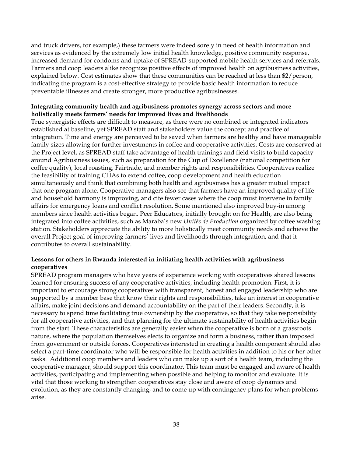and truck drivers, for example,) these farmers were indeed sorely in need of health information and services as evidenced by the extremely low initial health knowledge, positive community response, increased demand for condoms and uptake of SPREAD-supported mobile health services and referrals. Farmers and coop leaders alike recognize positive effects of improved health on agribusiness activities, explained below. Cost estimates show that these communities can be reached at less than \$2/person, indicating the program is a cost-effective strategy to provide basic health information to reduce preventable illnesses and create stronger, more productive agribusinesses.

#### **Integrating community health and agribusiness promotes synergy across sectors and more holistically meets farmers' needs for improved lives and livelihoods**

True synergistic effects are difficult to measure, as there were no combined or integrated indicators established at baseline, yet SPREAD staff and stakeholders value the concept and practice of integration. Time and energy are perceived to be saved when farmers are healthy and have manageable family sizes allowing for further investments in coffee and cooperative activities. Costs are conserved at the Project level, as SPREAD staff take advantage of health trainings and field visits to build capacity around Agribusiness issues, such as preparation for the Cup of Excellence (national competition for coffee quality), local roasting, Fairtrade, and member rights and responsibilities. Cooperatives realize the feasibility of training CHAs to extend coffee, coop development and health education simultaneously and think that combining both health and agribusiness has a greater mutual impact that one program alone. Cooperative managers also see that farmers have an improved quality of life and household harmony is improving, and cite fewer cases where the coop must intervene in family affairs for emergency loans and conflict resolution. Some mentioned also improved buy-in among members since health activities began. Peer Educators, initially brought on for Health, are also being integrated into coffee activities, such as Maraba's new *Unités de Production* organized by coffee washing station. Stakeholders appreciate the ability to more holistically meet community needs and achieve the overall Project goal of improving farmers' lives and livelihoods through integration, and that it contributes to overall sustainability.

#### **Lessons for others in Rwanda interested in initiating health activities with agribusiness cooperatives**

SPREAD program managers who have years of experience working with cooperatives shared lessons learned for ensuring success of any cooperative activities, including health promotion. First, it is important to encourage strong cooperatives with transparent, honest and engaged leadership who are supported by a member base that know their rights and responsibilities, take an interest in cooperative affairs, make joint decisions and demand accountability on the part of their leaders. Secondly, it is necessary to spend time facilitating true ownership by the cooperative, so that they take responsibility for all cooperative activities, and that planning for the ultimate sustainability of health activities begin from the start. These characteristics are generally easier when the cooperative is born of a grassroots nature, where the population themselves elects to organize and form a business, rather than imposed from government or outside forces. Cooperatives interested in creating a health component should also select a part-time coordinator who will be responsible for health activities in addition to his or her other tasks. Additional coop members and leaders who can make up a sort of a health team, including the cooperative manager, should support this coordinator. This team must be engaged and aware of health activities, participating and implementing when possible and helping to monitor and evaluate. It is vital that those working to strengthen cooperatives stay close and aware of coop dynamics and evolution, as they are constantly changing, and to come up with contingency plans for when problems arise.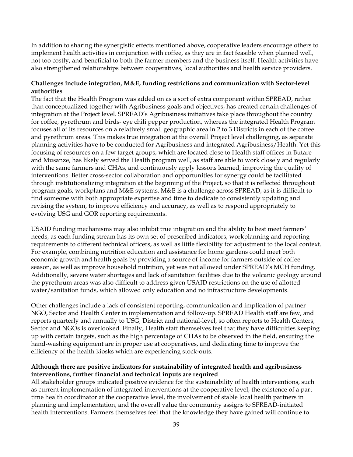In addition to sharing the synergistic effects mentioned above, cooperative leaders encourage others to implement health activities in conjunction with coffee, as they are in fact feasible when planned well, not too costly, and beneficial to both the farmer members and the business itself. Health activities have also strengthened relationships between cooperatives, local authorities and health service providers.

#### **Challenges include integration, M&E, funding restrictions and communication with Sector-level authorities**

The fact that the Health Program was added on as a sort of extra component within SPREAD, rather than conceptualized together with Agribusiness goals and objectives, has created certain challenges of integration at the Project level. SPREAD's Agribusiness initiatives take place throughout the country for coffee, pyrethrum and birds- eye chili pepper production, whereas the integrated Health Program focuses all of its resources on a relatively small geographic area in 2 to 3 Districts in each of the coffee and pyrethrum areas. This makes true integration at the overall Project level challenging, as separate planning activities have to be conducted for Agribusiness and integrated Agribusiness/Health. Yet this focusing of resources on a few target groups, which are located close to Health staff offices in Butare and Musanze, has likely served the Health program well, as staff are able to work closely and regularly with the same farmers and CHAs, and continuously apply lessons learned, improving the quality of interventions. Better cross-sector collaboration and opportunities for synergy could be facilitated through institutionalizing integration at the beginning of the Project, so that it is reflected throughout program goals, workplans and M&E systems. M&E is a challenge across SPREAD, as it is difficult to find someone with both appropriate expertise and time to dedicate to consistently updating and revising the system, to improve efficiency and accuracy, as well as to respond appropriately to evolving USG and GOR reporting requirements.

USAID funding mechanisms may also inhibit true integration and the ability to best meet farmers' needs, as each funding stream has its own set of prescribed indicators, workplanning and reporting requirements to different technical officers, as well as little flexibility for adjustment to the local context. For example, combining nutrition education and assistance for home gardens could meet both economic growth and health goals by providing a source of income for farmers outside of coffee season, as well as improve household nutrition, yet was not allowed under SPREAD's MCH funding. Additionally, severe water shortages and lack of sanitation facilities due to the volcanic geology around the pyrethrum areas was also difficult to address given USAID restrictions on the use of allotted water/sanitation funds, which allowed only education and no infrastructure developments.

Other challenges include a lack of consistent reporting, communication and implication of partner NGO, Sector and Health Center in implementation and follow-up. SPREAD Health staff are few, and reports quarterly and annually to USG, District and national-level, so often reports to Health Centers, Sector and NGOs is overlooked. Finally, Health staff themselves feel that they have difficulties keeping up with certain targets, such as the high percentage of CHAs to be observed in the field, ensuring the hand-washing equipment are in proper use at cooperatives, and dedicating time to improve the efficiency of the health kiosks which are experiencing stock-outs.

#### **Although there are positive indicators for sustainability of integrated health and agribusiness interventions, further financial and technical inputs are required**

All stakeholder groups indicated positive evidence for the sustainability of health interventions, such as current implementation of integrated interventions at the cooperative level, the existence of a parttime health coordinator at the cooperative level, the involvement of stable local health partners in planning and implementation, and the overall value the community assigns to SPREAD-initiated health interventions. Farmers themselves feel that the knowledge they have gained will continue to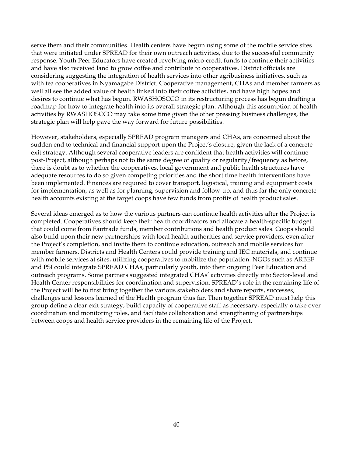serve them and their communities. Health centers have begun using some of the mobile service sites that were initiated under SPREAD for their own outreach activities, due to the successful community response. Youth Peer Educators have created revolving micro-credit funds to continue their activities and have also received land to grow coffee and contribute to cooperatives. District officials are considering suggesting the integration of health services into other agribusiness initiatives, such as with tea cooperatives in Nyamagabe District. Cooperative management, CHAs and member farmers as well all see the added value of health linked into their coffee activities, and have high hopes and desires to continue what has begun. RWASHOSCCO in its restructuring process has begun drafting a roadmap for how to integrate health into its overall strategic plan. Although this assumption of health activities by RWASHOSCCO may take some time given the other pressing business challenges, the strategic plan will help pave the way forward for future possibilities.

However, stakeholders, especially SPREAD program managers and CHAs, are concerned about the sudden end to technical and financial support upon the Project's closure, given the lack of a concrete exit strategy. Although several cooperative leaders are confident that health activities will continue post-Project, although perhaps not to the same degree of quality or regularity/frequency as before, there is doubt as to whether the cooperatives, local government and public health structures have adequate resources to do so given competing priorities and the short time health interventions have been implemented. Finances are required to cover transport, logistical, training and equipment costs for implementation, as well as for planning, supervision and follow-up, and thus far the only concrete health accounts existing at the target coops have few funds from profits of health product sales.

Several ideas emerged as to how the various partners can continue health activities after the Project is completed. Cooperatives should keep their health coordinators and allocate a health-specific budget that could come from Fairtrade funds, member contributions and health product sales. Coops should also build upon their new partnerships with local health authorities and service providers, even after the Project's completion, and invite them to continue education, outreach and mobile services for member farmers. Districts and Health Centers could provide training and IEC materials, and continue with mobile services at sites, utilizing cooperatives to mobilize the population. NGOs such as ARBEF and PSI could integrate SPREAD CHAs, particularly youth, into their ongoing Peer Education and outreach programs. Some partners suggested integrated CHAs' activities directly into Sector-level and Health Center responsibilities for coordination and supervision. SPREAD's role in the remaining life of the Project will be to first bring together the various stakeholders and share reports, successes, challenges and lessons learned of the Health program thus far. Then together SPREAD must help this group define a clear exit strategy, build capacity of cooperative staff as necessary, especially o take over coordination and monitoring roles, and facilitate collaboration and strengthening of partnerships between coops and health service providers in the remaining life of the Project.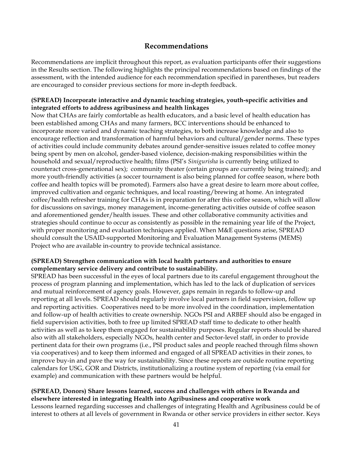## **Recommendations**

Recommendations are implicit throughout this report, as evaluation participants offer their suggestions in the Results section. The following highlights the principal recommendations based on findings of the assessment, with the intended audience for each recommendation specified in parentheses, but readers are encouraged to consider previous sections for more in-depth feedback.

#### **(SPREAD) Incorporate interactive and dynamic teaching strategies, youth-specific activities and integrated efforts to address agribusiness and health linkages**

Now that CHAs are fairly comfortable as health educators, and a basic level of health education has been established among CHAs and many farmers, BCC interventions should be enhanced to incorporate more varied and dynamic teaching strategies, to both increase knowledge and also to encourage reflection and transformation of harmful behaviors and cultural/gender norms. These types of activities could include community debates around gender-sensitive issues related to coffee money being spent by men on alcohol, gender-based violence, decision-making responsibilities within the household and sexual/reproductive health; films (PSI's *Sinigurisha* is currently being utilized to counteract cross-generational sex); community theater (certain groups are currently being trained); and more youth-friendly activities (a soccer tournament is also being planned for coffee season, where both coffee and health topics will be promoted). Farmers also have a great desire to learn more about coffee, improved cultivation and organic techniques, and local roasting/brewing at home. An integrated coffee/health refresher training for CHAs is in preparation for after this coffee season, which will allow for discussions on savings, money management, income-generating activities outside of coffee season and aforementioned gender/health issues. These and other collaborative community activities and strategies should continue to occur as consistently as possible in the remaining year life of the Project, with proper monitoring and evaluation techniques applied. When M&E questions arise, SPREAD should consult the USAID-supported Monitoring and Evaluation Management Systems (MEMS) Project who are available in-country to provide technical assistance.

#### **(SPREAD) Strengthen communication with local health partners and authorities to ensure complementary service delivery and contribute to sustainability.**

SPREAD has been successful in the eyes of local partners due to its careful engagement throughout the process of program planning and implementation, which has led to the lack of duplication of services and mutual reinforcement of agency goals. However, gaps remain in regards to follow-up and reporting at all levels. SPREAD should regularly involve local partners in field supervision, follow up and reporting activities. Cooperatives need to be more involved in the coordination, implementation and follow-up of health activities to create ownership. NGOs PSI and ARBEF should also be engaged in field supervision activities, both to free up limited SPREAD staff time to dedicate to other health activities as well as to keep them engaged for sustainability purposes. Regular reports should be shared also with all stakeholders, especially NGOs, health center and Sector-level staff, in order to provide pertinent data for their own programs (i.e., PSI product sales and people reached through films shown via cooperatives) and to keep them informed and engaged of all SPREAD activities in their zones, to improve buy-in and pave the way for sustainability. Since these reports are outside routine reporting calendars for USG, GOR and Districts, institutionalizing a routine system of reporting (via email for example) and communication with these partners would be helpful.

#### **(SPREAD, Donors) Share lessons learned, success and challenges with others in Rwanda and elsewhere interested in integrating Health into Agribusiness and cooperative work**

Lessons learned regarding successes and challenges of integrating Health and Agribusiness could be of interest to others at all levels of government in Rwanda or other service providers in either sector. Keys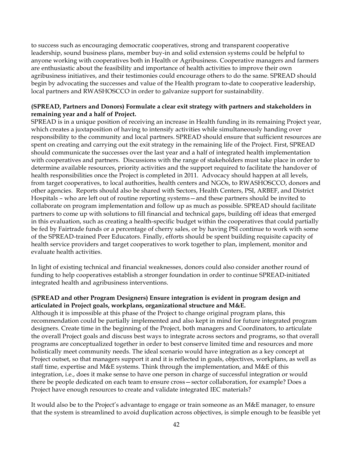to success such as encouraging democratic cooperatives, strong and transparent cooperative leadership, sound business plans, member buy-in and solid extension systems could be helpful to anyone working with cooperatives both in Health or Agribusiness. Cooperative managers and farmers are enthusiastic about the feasibility and importance of health activities to improve their own agribusiness initiatives, and their testimonies could encourage others to do the same. SPREAD should begin by advocating the successes and value of the Health program to-date to cooperative leadership, local partners and RWASHOSCCO in order to galvanize support for sustainability.

#### **(SPREAD, Partners and Donors) Formulate a clear exit strategy with partners and stakeholders in remaining year and a half of Project.**

SPREAD is in a unique position of receiving an increase in Health funding in its remaining Project year, which creates a juxtaposition of having to intensify activities while simultaneously handing over responsibility to the community and local partners. SPREAD should ensure that sufficient resources are spent on creating and carrying out the exit strategy in the remaining life of the Project. First, SPREAD should communicate the successes over the last year and a half of integrated health implementation with cooperatives and partners. Discussions with the range of stakeholders must take place in order to determine available resources, priority activities and the support required to facilitate the handover of health responsibilities once the Project is completed in 2011. Advocacy should happen at all levels, from target cooperatives, to local authorities, health centers and NGOs, to RWASHOSCCO, donors and other agencies. Reports should also be shared with Sectors, Health Centers, PSI, ARBEF, and District Hospitals – who are left out of routine reporting systems—and these partners should be invited to collaborate on program implementation and follow up as much as possible. SPREAD should facilitate partners to come up with solutions to fill financial and technical gaps, building off ideas that emerged in this evaluation, such as creating a health-specific budget within the cooperatives that could partially be fed by Fairtrade funds or a percentage of cherry sales, or by having PSI continue to work with some of the SPREAD-trained Peer Educators. Finally, efforts should be spent building requisite capacity of health service providers and target cooperatives to work together to plan, implement, monitor and evaluate health activities.

In light of existing technical and financial weaknesses, donors could also consider another round of funding to help cooperatives establish a stronger foundation in order to continue SPREAD-initiated integrated health and agribusiness interventions.

#### **(SPREAD and other Program Designers) Ensure integration is evident in program design and articulated in Project goals, workplans, organizational structure and M&E.**

Although it is impossible at this phase of the Project to change original program plans, this recommendation could be partially implemented and also kept in mind for future integrated program designers. Create time in the beginning of the Project, both managers and Coordinators, to articulate the overall Project goals and discuss best ways to integrate across sectors and programs, so that overall programs are conceptualized together in order to best conserve limited time and resources and more holistically meet community needs. The ideal scenario would have integration as a key concept at Project outset, so that managers support it and it is reflected in goals, objectives, workplans, as well as staff time, expertise and M&E systems. Think through the implementation, and M&E of this integration, i.e., does it make sense to have one person in charge of successful integration or would there be people dedicated on each team to ensure cross—sector collaboration, for example? Does a Project have enough resources to create and validate integrated IEC materials?

It would also be to the Project's advantage to engage or train someone as an M&E manager, to ensure that the system is streamlined to avoid duplication across objectives, is simple enough to be feasible yet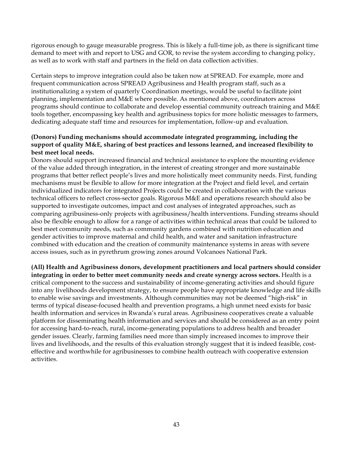rigorous enough to gauge measurable progress. This is likely a full-time job, as there is significant time demand to meet with and report to USG and GOR, to revise the system according to changing policy, as well as to work with staff and partners in the field on data collection activities.

Certain steps to improve integration could also be taken now at SPREAD. For example, more and frequent communication across SPREAD Agribusiness and Health program staff, such as a institutionalizing a system of quarterly Coordination meetings, would be useful to facilitate joint planning, implementation and M&E where possible. As mentioned above, coordinators across programs should continue to collaborate and develop essential community outreach training and M&E tools together, encompassing key health and agribusiness topics for more holistic messages to farmers, dedicating adequate staff time and resources for implementation, follow-up and evaluation.

#### **(Donors) Funding mechanisms should accommodate integrated programming, including the support of quality M&E, sharing of best practices and lessons learned, and increased flexibility to best meet local needs.**

Donors should support increased financial and technical assistance to explore the mounting evidence of the value added through integration, in the interest of creating stronger and more sustainable programs that better reflect people's lives and more holistically meet community needs. First, funding mechanisms must be flexible to allow for more integration at the Project and field level, and certain individualized indicators for integrated Projects could be created in collaboration with the various technical officers to reflect cross-sector goals. Rigorous M&E and operations research should also be supported to investigate outcomes, impact and cost analyses of integrated approaches, such as comparing agribusiness-only projects with agribusiness/health interventions. Funding streams should also be flexible enough to allow for a range of activities within technical areas that could be tailored to best meet community needs, such as community gardens combined with nutrition education and gender activities to improve maternal and child health, and water and sanitation infrastructure combined with education and the creation of community maintenance systems in areas with severe access issues, such as in pyrethrum growing zones around Volcanoes National Park.

**(All) Health and Agribusiness donors, development practitioners and local partners should consider integrating in order to better meet community needs and create synergy across sectors.** Health is a critical component to the success and sustainability of income-generating activities and should figure into any livelihoods development strategy, to ensure people have appropriate knowledge and life skills to enable wise savings and investments. Although communities may not be deemed "high-risk" in terms of typical disease-focused health and prevention programs, a high unmet need exists for basic health information and services in Rwanda's rural areas. Agribusiness cooperatives create a valuable platform for disseminating health information and services and should be considered as an entry point for accessing hard-to-reach, rural, income-generating populations to address health and broader gender issues. Clearly, farming families need more than simply increased incomes to improve their lives and livelihoods, and the results of this evaluation strongly suggest that it is indeed feasible, costeffective and worthwhile for agribusinesses to combine health outreach with cooperative extension activities.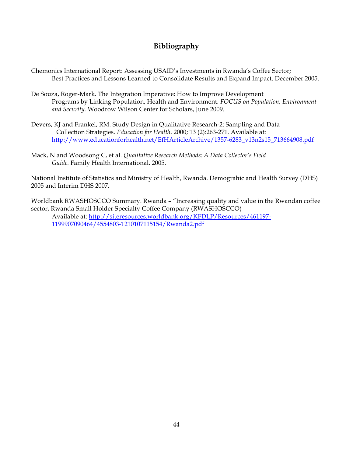## **Bibliography**

- Chemonics International Report: Assessing USAID's Investments in Rwanda's Coffee Sector; Best Practices and Lessons Learned to Consolidate Results and Expand Impact. December 2005.
- De Souza, Roger-Mark. The Integration Imperative: How to Improve Development Programs by Linking Population, Health and Environment. *FOCUS on Population, Environment and Security.* Woodrow Wilson Center for Scholars, June 2009.
- Devers, KJ and Frankel, RM. Study Design in Qualitative Research-2: Sampling and Data Collection Strategies. *Education for Health*. 2000; 13 (2):263-271. Available at: http://www.educationforhealth.net/EfHArticleArchive/1357-6283\_v13n2s15\_713664908.pdf
- Mack, N and Woodsong C, et al. *Qualitative Research Methods: A Data Collector's Field Guide.* Family Health International. 2005.

National Institute of Statistics and Ministry of Health, Rwanda. Demograhic and Health Survey (DHS) 2005 and Interim DHS 2007.

Worldbank RWASHOSCCO Summary. Rwanda – "Increasing quality and value in the Rwandan coffee sector, Rwanda Small Holder Specialty Coffee Company (RWASHOSCCO) Available at: http://siteresources.worldbank.org/KFDLP/Resources/461197- 1199907090464/4554803-1210107115154/Rwanda2.pdf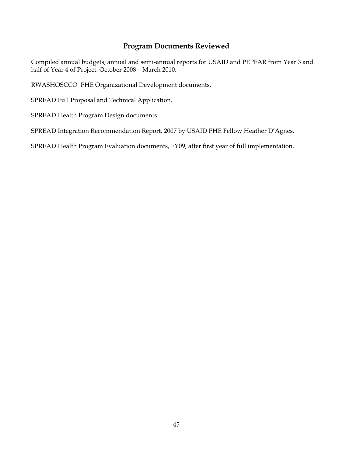## **Program Documents Reviewed**

Compiled annual budgets; annual and semi-annual reports for USAID and PEPFAR from Year 3 and half of Year 4 of Project: October 2008 – March 2010.

RWASHOSCCO PHE Organizational Development documents.

SPREAD Full Proposal and Technical Application.

SPREAD Health Program Design documents.

SPREAD Integration Recommendation Report, 2007 by USAID PHE Fellow Heather D'Agnes.

SPREAD Health Program Evaluation documents, FY09, after first year of full implementation.